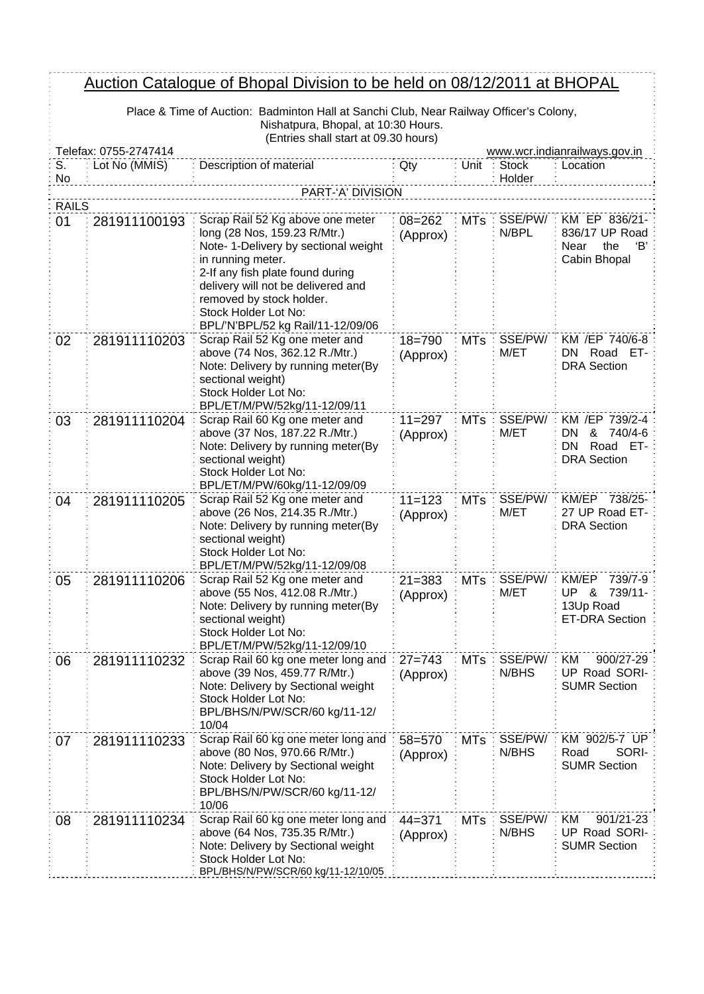## Auction Catalogue of Bhopal Division to be held on 08/12/2011 at BHOPAL

Place & Time of Auction: Badminton Hall at Sanchi Club, Near Railway Officer's Colony, Nishatpura, Bhopal, at 10:30 Hours. (Entries shall start at 09.30 hours)

 $\frac{1}{2}$  =  $\frac{1}{2}$  =  $\frac{1}{2}$  =  $\frac{1}{2}$  =  $\frac{1}{2}$  =  $\frac{1}{2}$ 

|                    | $\sum$<br>Telefax: 0755-2747414<br>www.wcr.indianrailways.gov.in |                                                                                                                                                                                                                              |                        |            |                        |                                                                                      |  |  |
|--------------------|------------------------------------------------------------------|------------------------------------------------------------------------------------------------------------------------------------------------------------------------------------------------------------------------------|------------------------|------------|------------------------|--------------------------------------------------------------------------------------|--|--|
| S.<br>No           | Lot No (MMIS)                                                    | Description of material                                                                                                                                                                                                      | Qty                    | Unit       | <b>Stock</b><br>Holder | Location                                                                             |  |  |
|                    |                                                                  | PART-'A' DIVISION                                                                                                                                                                                                            |                        |            |                        |                                                                                      |  |  |
| <b>RAILS</b><br>01 | 281911100193                                                     | Scrap Rail 52 Kg above one meter<br>long (28 Nos, 159.23 R/Mtr.)                                                                                                                                                             | $08 = 262$<br>(Approx) | <b>MTs</b> | SSE/PW/<br>N/BPL       | KM EP 836/21-<br>836/17 UP Road                                                      |  |  |
|                    |                                                                  | Note- 1-Delivery by sectional weight<br>in running meter.<br>2-If any fish plate found during<br>delivery will not be delivered and<br>removed by stock holder.<br>Stock Holder Lot No:<br>BPL/'N'BPL/52 kg Rail/11-12/09/06 |                        |            |                        | Near<br>the<br>'В'<br>Cabin Bhopal                                                   |  |  |
| 02                 | 281911110203                                                     | Scrap Rail 52 Kg one meter and<br>above (74 Nos, 362.12 R./Mtr.)<br>Note: Delivery by running meter(By<br>sectional weight)<br>Stock Holder Lot No:<br>BPL/ET/M/PW/52kg/11-12/09/11                                          | $18 = 790$<br>(Approx) | <b>MTs</b> | SSE/PW/<br>M/ET        | KM /EP 740/6-8<br>Road<br>ET-<br>DN.<br><b>DRA</b> Section                           |  |  |
| 03                 | 281911110204                                                     | Scrap Rail 60 Kg one meter and<br>above (37 Nos, 187.22 R./Mtr.)<br>Note: Delivery by running meter(By<br>sectional weight)<br>Stock Holder Lot No:<br>BPL/ET/M/PW/60kg/11-12/09/09                                          | $11 = 297$<br>(Approx) | <b>MTs</b> | SSE/PW/<br>M/ET        | KM /EP 739/2-4<br>&<br>DN.<br>740/4-6<br>Road ET-<br><b>DN</b><br><b>DRA</b> Section |  |  |
| 04                 | 281911110205                                                     | Scrap Rail 52 Kg one meter and<br>above (26 Nos, 214.35 R./Mtr.)<br>Note: Delivery by running meter(By<br>sectional weight)<br>Stock Holder Lot No:<br>BPL/ET/M/PW/52kg/11-12/09/08                                          | $11 = 123$<br>(Approx) | <b>MTs</b> | SSE/PW/<br>M/ET        | KM/EP 738/25-<br>27 UP Road ET-<br><b>DRA Section</b>                                |  |  |
| 05                 | 281911110206                                                     | Scrap Rail 52 Kg one meter and<br>above (55 Nos, 412.08 R./Mtr.)<br>Note: Delivery by running meter(By<br>sectional weight)<br>Stock Holder Lot No:<br>BPL/ET/M/PW/52kg/11-12/09/10                                          | $21 = 383$<br>(Approx) | <b>MTs</b> | SSE/PW/<br>M/ET        | KM/EP<br>739/7-9<br><b>UP &amp;</b><br>739/11-<br>13Up Road<br><b>ET-DRA Section</b> |  |  |
| 06                 | 281911110232                                                     | Scrap Rail 60 kg one meter long and<br>above (39 Nos, 459.77 R/Mtr.)<br>Note: Delivery by Sectional weight<br>Stock Holder Lot No:<br>BPL/BHS/N/PW/SCR/60 kg/11-12/<br>10/04                                                 | $27 = 743$<br>(Approx) | MTs        | SSE/PW/<br>N/BHS       | <b>KM</b><br>900/27-29<br>UP Road SORI-<br><b>SUMR Section</b>                       |  |  |
| 07                 | 281911110233                                                     | Scrap Rail 60 kg one meter long and<br>above (80 Nos, 970.66 R/Mtr.)<br>Note: Delivery by Sectional weight<br>Stock Holder Lot No:<br>BPL/BHS/N/PW/SCR/60 kg/11-12/<br>10/06                                                 | 58=570<br>(Approx)     | <b>MTs</b> | SSE/PW/<br>N/BHS       | KM 902/5-7 UP<br>SORI-<br>Road<br><b>SUMR Section</b>                                |  |  |
| 08                 | 281911110234                                                     | Scrap Rail 60 kg one meter long and<br>above (64 Nos, 735.35 R/Mtr.)<br>Note: Delivery by Sectional weight<br>Stock Holder Lot No:<br>BPL/BHS/N/PW/SCR/60 kg/11-12/10/05                                                     | $44 = 371$<br>(Approx) | <b>MTs</b> | SSE/PW/<br>N/BHS       | ΚM<br>901/21-23<br>UP Road SORI-<br><b>SUMR Section</b>                              |  |  |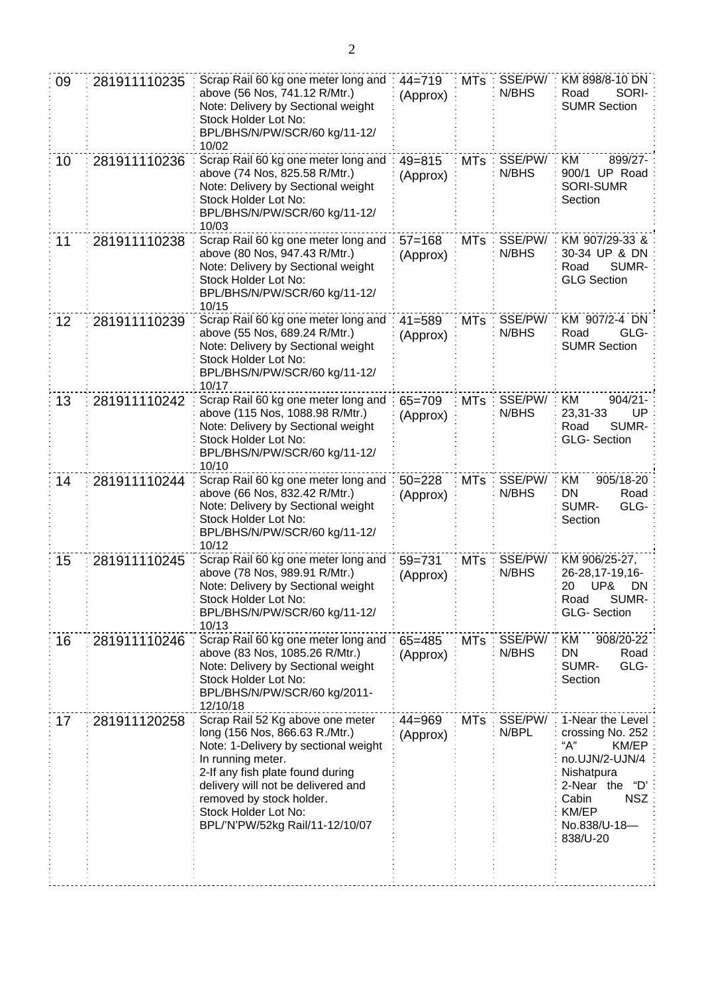| 09 | 281911110235 | Scrap Rail 60 kg one meter long and<br>above (56 Nos, 741.12 R/Mtr.)<br>Note: Delivery by Sectional weight<br>Stock Holder Lot No:<br>BPL/BHS/N/PW/SCR/60 kg/11-12/<br>10/02                                                                                                                     | $44 = 719$<br>(Approx) | <b>MTs</b> | SSE/PW/<br>N/BHS | KM 898/8-10 DN<br>SORI-<br>Road<br><b>SUMR Section</b>                                                                                                             |
|----|--------------|--------------------------------------------------------------------------------------------------------------------------------------------------------------------------------------------------------------------------------------------------------------------------------------------------|------------------------|------------|------------------|--------------------------------------------------------------------------------------------------------------------------------------------------------------------|
| 10 | 281911110236 | Scrap Rail 60 kg one meter long and<br>above (74 Nos, 825.58 R/Mtr.)<br>Note: Delivery by Sectional weight<br>Stock Holder Lot No:<br>BPL/BHS/N/PW/SCR/60 kg/11-12/<br>10/03                                                                                                                     | $49 = 815$<br>(Approx) | <b>MTs</b> | SSE/PW/<br>N/BHS | KM<br>899/27-<br>900/1 UP Road<br><b>SORI-SUMR</b><br>Section                                                                                                      |
| 11 | 281911110238 | Scrap Rail 60 kg one meter long and<br>above (80 Nos, 947.43 R/Mtr.)<br>Note: Delivery by Sectional weight<br>Stock Holder Lot No:<br>BPL/BHS/N/PW/SCR/60 kg/11-12/<br>10/15                                                                                                                     | $57 = 168$<br>(Approx) | <b>MTs</b> | SSE/PW/<br>N/BHS | KM 907/29-33 &<br>30-34 UP & DN<br>SUMR-<br>Road<br><b>GLG Section</b>                                                                                             |
| 12 | 281911110239 | Scrap Rail 60 kg one meter long and<br>above (55 Nos, 689.24 R/Mtr.)<br>Note: Delivery by Sectional weight<br>Stock Holder Lot No:<br>BPL/BHS/N/PW/SCR/60 kg/11-12/<br>10/17                                                                                                                     | $41 = 589$<br>(Approx) | <b>MTs</b> | SSE/PW/<br>N/BHS | KM 907/2-4 DN<br>Road<br>GLG-<br><b>SUMR Section</b>                                                                                                               |
| 13 | 281911110242 | Scrap Rail 60 kg one meter long and<br>above (115 Nos, 1088.98 R/Mtr.)<br>Note: Delivery by Sectional weight<br>Stock Holder Lot No:<br>BPL/BHS/N/PW/SCR/60 kg/11-12/<br>10/10                                                                                                                   | $65 = 709$<br>(Approx) | <b>MTs</b> | SSE/PW/<br>N/BHS | KM<br>$904/21 -$<br>UP<br>23,31-33<br>SUMR-<br>Road<br><b>GLG-Section</b>                                                                                          |
| 14 | 281911110244 | Scrap Rail 60 kg one meter long and<br>above (66 Nos, 832.42 R/Mtr.)<br>Note: Delivery by Sectional weight<br>Stock Holder Lot No:<br>BPL/BHS/N/PW/SCR/60 kg/11-12/<br>10/12                                                                                                                     | $50 = 228$<br>(Approx) | <b>MTs</b> | SSE/PW/<br>N/BHS | 905/18-20<br>ΚM<br>DN<br>Road<br>SUMR-<br>GLG-<br>Section                                                                                                          |
| 15 | 281911110245 | Scrap Rail 60 kg one meter long and<br>above (78 Nos, 989.91 R/Mtr.)<br>Note: Delivery by Sectional weight<br>Stock Holder Lot No:<br>BPL/BHS/N/PW/SCR/60 kg/11-12/<br>10/13                                                                                                                     | $59 = 731$<br>(Approx) | <b>MTs</b> | SSE/PW/<br>N/BHS | KM 906/25-27,<br>26-28, 17-19, 16-<br>20 UP& DN<br>SUMR-<br>Road<br><b>GLG-Section</b>                                                                             |
| 16 | 281911110246 | Scrap Rail 60 kg one meter long and<br>above (83 Nos, 1085.26 R/Mtr.)<br>Note: Delivery by Sectional weight<br>Stock Holder Lot No:<br>BPL/BHS/N/PW/SCR/60 kg/2011-<br>12/10/18                                                                                                                  | $65 = 485$<br>(Approx) | <b>MTs</b> | SSE/PW/<br>N/BHS | KM<br>908/20-22<br>DN<br>Road<br>GLG-<br>SUMR-<br>Section                                                                                                          |
| 17 | 281911120258 | Scrap Rail 52 Kg above one meter<br>long (156 Nos, 866.63 R./Mtr.)<br>Note: 1-Delivery by sectional weight<br>In running meter.<br>2-If any fish plate found during<br>delivery will not be delivered and<br>removed by stock holder.<br>Stock Holder Lot No:<br>BPL/'N'PW/52kg Rail/11-12/10/07 | $44 = 969$<br>(Approx) | <b>MTs</b> | SSE/PW/<br>N/BPL | 1-Near the Level<br>crossing No. 252<br>"А"<br>KM/EP<br>no.UJN/2-UJN/4<br>Nishatpura<br>2-Near the "D"<br><b>NSZ</b><br>Cabin<br>KM/EP<br>No.838/U-18-<br>838/U-20 |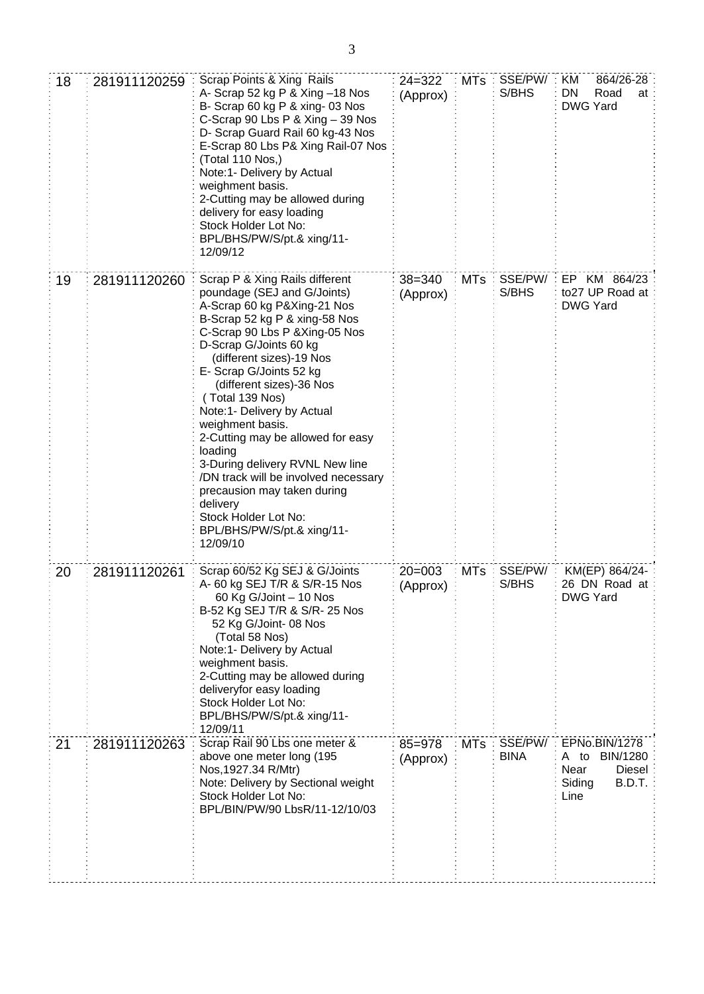| 18 | 281911120259 | Scrap Points & Xing Rails<br>A- Scrap 52 kg P & Xing -18 Nos<br>B- Scrap 60 kg P & xing- 03 Nos<br>C-Scrap 90 Lbs P & Xing - 39 Nos<br>D- Scrap Guard Rail 60 kg-43 Nos<br>E-Scrap 80 Lbs P& Xing Rail-07 Nos<br>(Total 110 Nos,)<br>Note:1- Delivery by Actual<br>weighment basis.<br>2-Cutting may be allowed during<br>delivery for easy loading<br>Stock Holder Lot No:<br>BPL/BHS/PW/S/pt.& xing/11-<br>12/09/12                                                                                                                                                                     | $24 = 322$<br>(Approx) | $MTs$ :    | SSE/PW/<br>S/BHS       | 864/26-28<br>KM.<br>DN<br>Road<br>at<br><b>DWG Yard</b>                                |
|----|--------------|-------------------------------------------------------------------------------------------------------------------------------------------------------------------------------------------------------------------------------------------------------------------------------------------------------------------------------------------------------------------------------------------------------------------------------------------------------------------------------------------------------------------------------------------------------------------------------------------|------------------------|------------|------------------------|----------------------------------------------------------------------------------------|
| 19 | 281911120260 | Scrap P & Xing Rails different<br>poundage (SEJ and G/Joints)<br>A-Scrap 60 kg P&Xing-21 Nos<br>B-Scrap 52 kg P & xing-58 Nos<br>C-Scrap 90 Lbs P & Xing-05 Nos<br>D-Scrap G/Joints 60 kg<br>(different sizes)-19 Nos<br>E- Scrap G/Joints 52 kg<br>(different sizes)-36 Nos<br>(Total 139 Nos)<br>Note:1- Delivery by Actual<br>weighment basis.<br>2-Cutting may be allowed for easy<br>loading<br>3-During delivery RVNL New line<br>/DN track will be involved necessary<br>precausion may taken during<br>delivery<br>Stock Holder Lot No:<br>BPL/BHS/PW/S/pt.& xing/11-<br>12/09/10 | $38 = 340$<br>(Approx) | <b>MTs</b> | SSE/PW/<br>S/BHS       | EP KM 864/23<br>to27 UP Road at<br><b>DWG Yard</b>                                     |
| 20 | 281911120261 | Scrap 60/52 Kg SEJ & G/Joints<br>A- 60 kg SEJ T/R & S/R-15 Nos<br>60 Kg G/Joint - 10 Nos<br>B-52 Kg SEJ T/R & S/R- 25 Nos<br>52 Kg G/Joint-08 Nos<br>(Total 58 Nos)<br>Note:1- Delivery by Actual<br>weighment basis.<br>2-Cutting may be allowed during<br>deliveryfor easy loading<br>Stock Holder Lot No:<br>BPL/BHS/PW/S/pt.& xing/11-<br>12/09/11                                                                                                                                                                                                                                    | $20 = 003$<br>(Approx) | <b>MTs</b> | SSE/PW/<br>S/BHS       | KM(EP) 864/24-<br>26 DN Road at<br><b>DWG Yard</b>                                     |
| 21 | 281911120263 | Scrap Rail 90 Lbs one meter &<br>above one meter long (195<br>Nos, 1927.34 R/Mtr)<br>Note: Delivery by Sectional weight<br>Stock Holder Lot No:<br>BPL/BIN/PW/90 LbsR/11-12/10/03                                                                                                                                                                                                                                                                                                                                                                                                         | 85=978<br>(Approx)     | <b>MTs</b> | SSE/PW/<br><b>BINA</b> | EPNo.BIN/1278<br>BIN/1280<br>A to<br>Near<br><b>Diesel</b><br>B.D.T.<br>Siding<br>Line |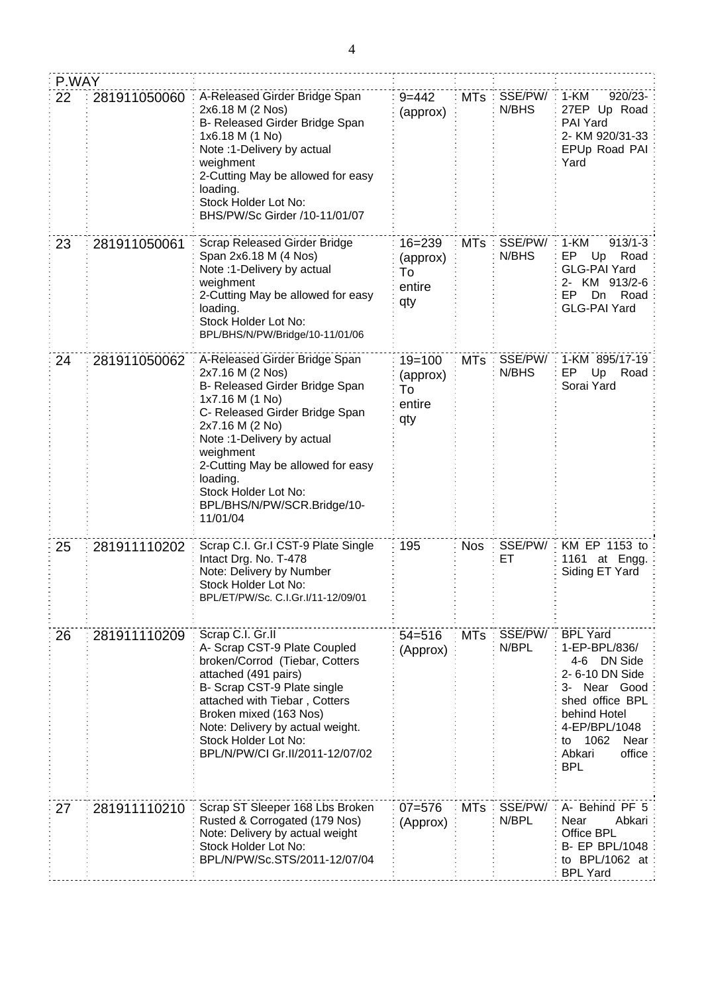| P.WAY |              |                                                                                                                                                                                                                                                                                                                            |                                               |            |                  |                                                                                                                                                                                                |
|-------|--------------|----------------------------------------------------------------------------------------------------------------------------------------------------------------------------------------------------------------------------------------------------------------------------------------------------------------------------|-----------------------------------------------|------------|------------------|------------------------------------------------------------------------------------------------------------------------------------------------------------------------------------------------|
| 22    | 281911050060 | A-Released Girder Bridge Span<br>2x6.18 M (2 Nos)<br>B- Released Girder Bridge Span<br>1x6.18 M (1 No)<br>Note :1-Delivery by actual<br>weighment<br>2-Cutting May be allowed for easy<br>loading.<br>Stock Holder Lot No:<br>BHS/PW/Sc Girder /10-11/01/07                                                                | $9 = 442$<br>(approx)                         | <b>MTs</b> | SSE/PW/<br>N/BHS | 1-KM<br>920/23-<br>27EP Up Road<br><b>PAI Yard</b><br>2- KM 920/31-33<br>EPUp Road PAI<br>Yard                                                                                                 |
| 23    | 281911050061 | Scrap Released Girder Bridge<br>Span 2x6.18 M (4 Nos)<br>Note :1-Delivery by actual<br>weighment<br>2-Cutting May be allowed for easy<br>loading.<br>Stock Holder Lot No:<br>BPL/BHS/N/PW/Bridge/10-11/01/06                                                                                                               | $16 = 239$<br>(approx)<br>To<br>entire<br>qty | <b>MTs</b> | SSE/PW/<br>N/BHS | $1-KM$<br>$913/1 - 3$<br>EP.<br>Up<br>Road<br><b>GLG-PAI Yard</b><br>2- KM 913/2-6<br>EP.<br>Road<br>Dn<br><b>GLG-PAI Yard</b>                                                                 |
| 24    | 281911050062 | A-Released Girder Bridge Span<br>2x7.16 M (2 Nos)<br>B- Released Girder Bridge Span<br>1x7.16 M (1 No)<br>C- Released Girder Bridge Span<br>2x7.16 M (2 No)<br>Note :1-Delivery by actual<br>weighment<br>2-Cutting May be allowed for easy<br>loading.<br>Stock Holder Lot No:<br>BPL/BHS/N/PW/SCR.Bridge/10-<br>11/01/04 | $19 = 100$<br>(approx)<br>To<br>entire<br>qty | <b>MTs</b> | SSE/PW/<br>N/BHS | 1-KM 895/17-19<br>EP<br>Up Road<br>Sorai Yard                                                                                                                                                  |
| 25    | 281911110202 | Scrap C.I. Gr.I CST-9 Plate Single<br>Intact Drg. No. T-478<br>Note: Delivery by Number<br>Stock Holder Lot No:<br>BPL/ET/PW/Sc. C.I.Gr.I/11-12/09/01                                                                                                                                                                      | 195                                           | <b>Nos</b> | SSE/PW/:<br>EТ   | KM EP 1153 to<br>1161 at Engg.<br>Siding ET Yard                                                                                                                                               |
| 26    | 281911110209 | Scrap C.I. Gr.II<br>A- Scrap CST-9 Plate Coupled<br>broken/Corrod (Tiebar, Cotters<br>attached (491 pairs)<br>B- Scrap CST-9 Plate single<br>attached with Tiebar, Cotters<br>Broken mixed (163 Nos)<br>Note: Delivery by actual weight.<br>Stock Holder Lot No:<br>BPL/N/PW/CI Gr.II/2011-12/07/02                        | $54 = 516$<br>(Approx)                        | <b>MTs</b> | SSE/PW/<br>N/BPL | <b>BPL Yard</b><br>1-EP-BPL/836/<br>4-6 DN Side<br>2- 6-10 DN Side<br>3- Near Good<br>shed office BPL<br>behind Hotel<br>4-EP/BPL/1048<br>1062<br>Near<br>to<br>office<br>Abkari<br><b>BPL</b> |
| 27    | 281911110210 | Scrap ST Sleeper 168 Lbs Broken<br>Rusted & Corrogated (179 Nos)<br>Note: Delivery by actual weight<br>Stock Holder Lot No:<br>BPL/N/PW/Sc.STS/2011-12/07/04                                                                                                                                                               | $07 = 576$<br>(Approx)                        | <b>MTs</b> | SSE/PW/<br>N/BPL | A- Behind PF 5<br>Near<br>Abkari<br>Office BPL<br><b>B- EP BPL/1048</b><br>to BPL/1062 at<br><b>BPL Yard</b>                                                                                   |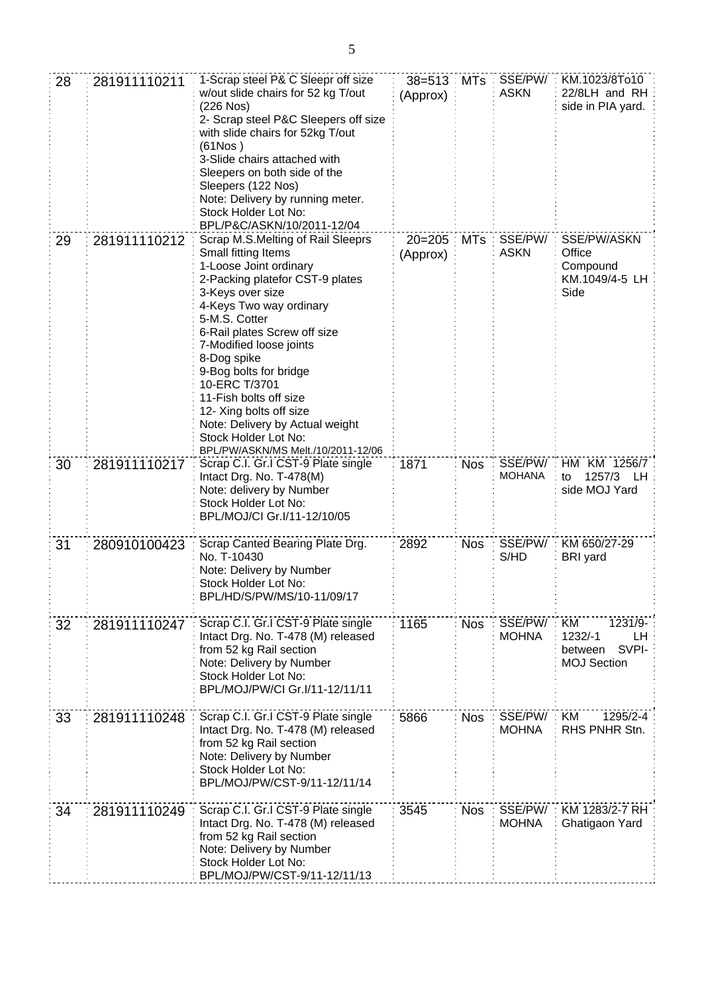| 28 | 281911110211 | 1-Scrap steel P& C Sleepr off size<br>w/out slide chairs for 52 kg T/out<br>(226 Nos)<br>2- Scrap steel P&C Sleepers off size<br>with slide chairs for 52kg T/out<br>(61Nos)<br>3-Slide chairs attached with<br>Sleepers on both side of the<br>Sleepers (122 Nos)<br>Note: Delivery by running meter.<br>Stock Holder Lot No:<br>BPL/P&C/ASKN/10/2011-12/04                                                                                                     | $38 = 513$<br>(Approx) |            | MTs : SSE/PW/<br><b>ASKN</b> | KM.1023/8To10<br>22/8LH and RH<br>side in PIA yard.                      |
|----|--------------|------------------------------------------------------------------------------------------------------------------------------------------------------------------------------------------------------------------------------------------------------------------------------------------------------------------------------------------------------------------------------------------------------------------------------------------------------------------|------------------------|------------|------------------------------|--------------------------------------------------------------------------|
| 29 | 281911110212 | Scrap M.S.Melting of Rail Sleeprs<br>Small fitting Items<br>1-Loose Joint ordinary<br>2-Packing platefor CST-9 plates<br>3-Keys over size<br>4-Keys Two way ordinary<br>5-M.S. Cotter<br>6-Rail plates Screw off size<br>7-Modified loose joints<br>8-Dog spike<br>9-Bog bolts for bridge<br>10-ERC T/3701<br>11-Fish bolts off size<br>12- Xing bolts off size<br>Note: Delivery by Actual weight<br>Stock Holder Lot No:<br>BPL/PW/ASKN/MS Melt./10/2011-12/06 | $20 = 205$<br>(Approx) | <b>MTs</b> | SSE/PW/<br><b>ASKN</b>       | SSE/PW/ASKN<br>Office<br>Compound<br>KM.1049/4-5 LH<br>Side              |
| 30 | 281911110217 | Scrap C.I. Gr.I CST-9 Plate single<br>Intact Drg. No. T-478(M)<br>Note: delivery by Number<br>Stock Holder Lot No:<br>BPL/MOJ/CI Gr.I/11-12/10/05                                                                                                                                                                                                                                                                                                                | 1871                   | <b>Nos</b> | SSE/PW/<br><b>MOHANA</b>     | HM KM 1256/7<br>1257/3<br>LH<br>to<br>side MOJ Yard                      |
| 31 | 280910100423 | Scrap Canted Bearing Plate Drg.<br>No. T-10430<br>Note: Delivery by Number<br>Stock Holder Lot No:<br>BPL/HD/S/PW/MS/10-11/09/17                                                                                                                                                                                                                                                                                                                                 | 2892                   | <b>Nos</b> | SSE/PW/<br>S/HD              | KM 650/27-29<br><b>BRI</b> yard                                          |
| 32 | 281911110247 | Scrap C.I. Gr.I CST-9 Plate single<br>Intact Drg. No. T-478 (M) released<br>from 52 kg Rail section<br>Note: Delivery by Number<br>Stock Holder Lot No:<br>BPL/MOJ/PW/CI Gr.I/11-12/11/11                                                                                                                                                                                                                                                                        | 1165                   | <b>Nos</b> | SSE/PW/<br><b>MOHNA</b>      | KM<br>1231/9-<br>1232/-1<br>LH<br>SVPI-<br>between<br><b>MOJ Section</b> |
| 33 | 281911110248 | Scrap C.I. Gr.I CST-9 Plate single<br>Intact Drg. No. T-478 (M) released<br>from 52 kg Rail section<br>Note: Delivery by Number<br>Stock Holder Lot No:<br>BPL/MOJ/PW/CST-9/11-12/11/14                                                                                                                                                                                                                                                                          | 5866                   | <b>Nos</b> | SSE/PW/<br><b>MOHNA</b>      | KM<br>1295/2-4<br>RHS PNHR Stn.                                          |
| 34 | 281911110249 | Scrap C.I. Gr.I CST-9 Plate single<br>Intact Drg. No. T-478 (M) released<br>from 52 kg Rail section<br>Note: Delivery by Number<br>Stock Holder Lot No:<br>BPL/MOJ/PW/CST-9/11-12/11/13                                                                                                                                                                                                                                                                          | 3545                   | <b>Nos</b> | SSE/PW/<br><b>MOHNA</b>      | KM 1283/2-7 RH<br>Ghatigaon Yard                                         |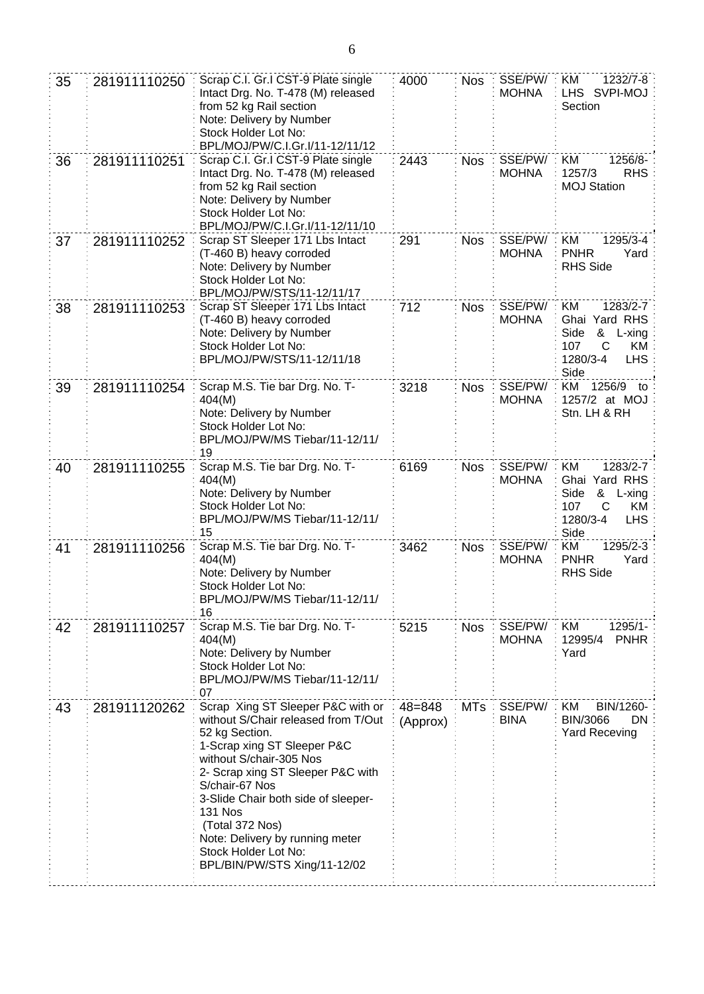| 35 | 281911110250 | Scrap C.I. Gr.I CST-9 Plate single<br>Intact Drg. No. T-478 (M) released<br>from 52 kg Rail section<br>Note: Delivery by Number<br>Stock Holder Lot No:<br>BPL/MOJ/PW/C.I.Gr.I/11-12/11/12                                                                                                                                                                                         | 4000                   | <b>Nos</b> | SSE/PW/<br><b>MOHNA</b> | 1232/7-8<br>KM<br>LHS SVPI-MOJ<br>Section                                                                         |
|----|--------------|------------------------------------------------------------------------------------------------------------------------------------------------------------------------------------------------------------------------------------------------------------------------------------------------------------------------------------------------------------------------------------|------------------------|------------|-------------------------|-------------------------------------------------------------------------------------------------------------------|
| 36 | 281911110251 | Scrap C.I. Gr.I CST-9 Plate single<br>Intact Drg. No. T-478 (M) released<br>from 52 kg Rail section<br>Note: Delivery by Number<br>Stock Holder Lot No:<br>BPL/MOJ/PW/C.I.Gr.I/11-12/11/10                                                                                                                                                                                         | 2443                   | <b>Nos</b> | SSE/PW/<br><b>MOHNA</b> | ΚM<br>1256/8-<br>1257/3<br><b>RHS</b><br><b>MOJ Station</b>                                                       |
| 37 | 281911110252 | Scrap ST Sleeper 171 Lbs Intact<br>(T-460 B) heavy corroded<br>Note: Delivery by Number<br>Stock Holder Lot No:<br>BPL/MOJ/PW/STS/11-12/11/17                                                                                                                                                                                                                                      | 291                    | <b>Nos</b> | SSE/PW/<br><b>MOHNA</b> | KM<br>1295/3-4<br><b>PNHR</b><br>Yard<br><b>RHS Side</b>                                                          |
| 38 | 281911110253 | Scrap ST Sleeper 171 Lbs Intact<br>(T-460 B) heavy corroded<br>Note: Delivery by Number<br>Stock Holder Lot No:<br>BPL/MOJ/PW/STS/11-12/11/18                                                                                                                                                                                                                                      | 712                    | <b>Nos</b> | SSE/PW/<br><b>MOHNA</b> | ΚM<br>1283/2-7<br>Ghai Yard RHS<br>Side<br>&<br>L-xing<br>107<br>C<br>KM<br><b>LHS</b><br>1280/3-4<br>Side        |
| 39 | 281911110254 | Scrap M.S. Tie bar Drg. No. T-<br>404(M)<br>Note: Delivery by Number<br>Stock Holder Lot No:<br>BPL/MOJ/PW/MS Tiebar/11-12/11/<br>19                                                                                                                                                                                                                                               | 3218                   | <b>Nos</b> | SSE/PW/<br><b>MOHNA</b> | KM<br>1256/9<br>to<br>1257/2 at MOJ<br>Stn. LH & RH                                                               |
| 40 | 281911110255 | Scrap M.S. Tie bar Drg. No. T-<br>404(M)<br>Note: Delivery by Number<br>Stock Holder Lot No:<br>BPL/MOJ/PW/MS Tiebar/11-12/11/<br>15                                                                                                                                                                                                                                               | 6169                   | <b>Nos</b> | SSE/PW/<br><b>MOHNA</b> | KM<br>1283/2-7<br>Ghai<br>Yard RHS<br>Side<br>&<br>$L$ -xing<br>107<br>C<br>KM.<br>1280/3-4<br><b>LHS</b><br>Side |
| 41 | 281911110256 | Scrap M.S. Tie bar Drg. No. T-<br>404(M)<br>Note: Delivery by Number<br>Stock Holder Lot No:<br>BPL/MOJ/PW/MS Tiebar/11-12/11/<br>16                                                                                                                                                                                                                                               | 3462                   | <b>Nos</b> | SSE/PW/<br><b>MOHNA</b> | ΚM<br>1295/2-3<br><b>PNHR</b><br>Yard<br><b>RHS Side</b>                                                          |
| 42 | 281911110257 | Scrap M.S. Tie bar Drg. No. T-<br>404(M)<br>Note: Delivery by Number<br>Stock Holder Lot No:<br>BPL/MOJ/PW/MS Tiebar/11-12/11/<br>07                                                                                                                                                                                                                                               | 5215                   | <b>Nos</b> | SSE/PW/<br><b>MOHNA</b> | KM<br>1295/1-<br>12995/4<br><b>PNHR</b><br>Yard                                                                   |
| 43 | 281911120262 | Scrap Xing ST Sleeper P&C with or<br>without S/Chair released from T/Out<br>52 kg Section.<br>1-Scrap xing ST Sleeper P&C<br>without S/chair-305 Nos<br>2- Scrap xing ST Sleeper P&C with<br>S/chair-67 Nos<br>3-Slide Chair both side of sleeper-<br><b>131 Nos</b><br>(Total 372 Nos)<br>Note: Delivery by running meter<br>Stock Holder Lot No:<br>BPL/BIN/PW/STS Xing/11-12/02 | $48 = 848$<br>(Approx) | <b>MTs</b> | SSE/PW/<br><b>BINA</b>  | ΚM<br>BIN/1260-<br>BIN/3066<br><b>DN</b><br><b>Yard Receving</b>                                                  |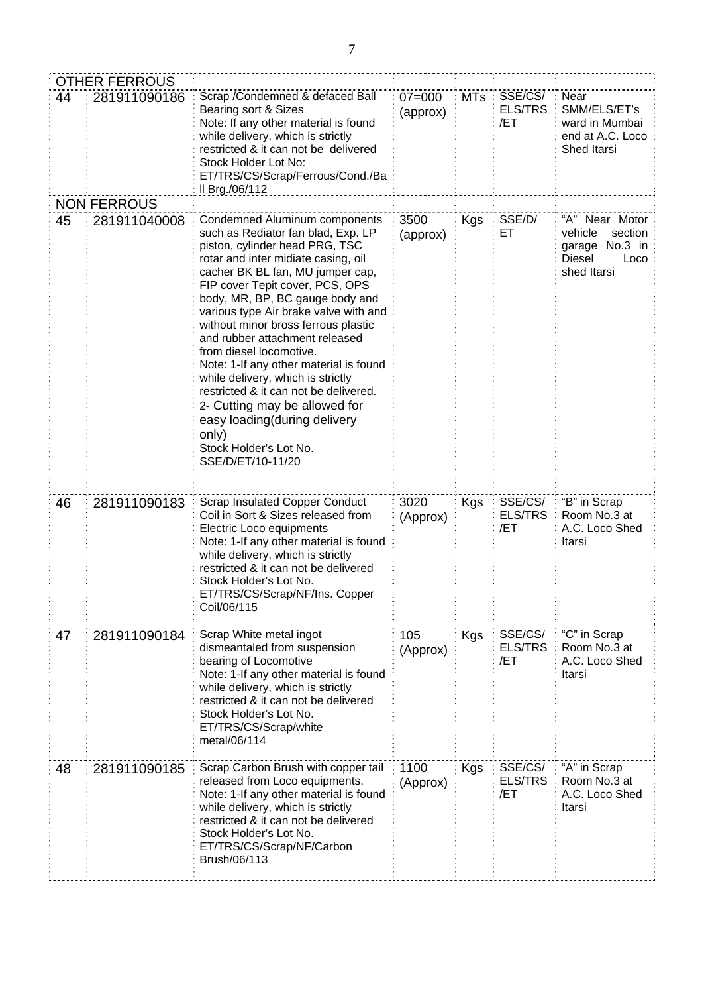|    | <b>OTHER FERROUS</b> |                                                                                                                                                                                                                                                                                                                                                                                                                                                                                                                                                                                                                                                             |                        |         |                                  |                                                                                            |
|----|----------------------|-------------------------------------------------------------------------------------------------------------------------------------------------------------------------------------------------------------------------------------------------------------------------------------------------------------------------------------------------------------------------------------------------------------------------------------------------------------------------------------------------------------------------------------------------------------------------------------------------------------------------------------------------------------|------------------------|---------|----------------------------------|--------------------------------------------------------------------------------------------|
| 44 | 281911090186         | Scrap / Condemned & defaced Ball<br>Bearing sort & Sizes<br>Note: If any other material is found<br>while delivery, which is strictly<br>restricted & it can not be delivered<br>Stock Holder Lot No:<br>ET/TRS/CS/Scrap/Ferrous/Cond./Ba<br>Il Brg./06/112                                                                                                                                                                                                                                                                                                                                                                                                 | $07 = 000$<br>(approx) | $MTs$ : | SSE/CS/<br><b>ELS/TRS</b><br>/ET | Near<br>SMM/ELS/ET's<br>ward in Mumbai<br>end at A.C. Loco<br>Shed Itarsi                  |
|    | <b>NON FERROUS</b>   |                                                                                                                                                                                                                                                                                                                                                                                                                                                                                                                                                                                                                                                             |                        |         |                                  |                                                                                            |
| 45 | 281911040008         | <b>Condemned Aluminum components</b><br>such as Rediator fan blad, Exp. LP<br>piston, cylinder head PRG, TSC<br>rotar and inter midiate casing, oil<br>cacher BK BL fan, MU jumper cap,<br>FIP cover Tepit cover, PCS, OPS<br>body, MR, BP, BC gauge body and<br>various type Air brake valve with and<br>without minor bross ferrous plastic<br>and rubber attachment released<br>from diesel locomotive.<br>Note: 1-If any other material is found<br>while delivery, which is strictly<br>restricted & it can not be delivered.<br>2- Cutting may be allowed for<br>easy loading(during delivery<br>only)<br>Stock Holder's Lot No.<br>SSE/D/ET/10-11/20 | 3500<br>(approx)       | Kgs     | SSE/D/<br>ET                     | "A" Near Motor<br>vehicle<br>section<br>No.3 in<br>garage<br>Diesel<br>Loco<br>shed Itarsi |
| 46 | 281911090183         | <b>Scrap Insulated Copper Conduct</b><br>Coil in Sort & Sizes released from<br>Electric Loco equipments<br>Note: 1-If any other material is found<br>while delivery, which is strictly<br>restricted & it can not be delivered<br>Stock Holder's Lot No.<br>ET/TRS/CS/Scrap/NF/Ins. Copper<br>Coil/06/115                                                                                                                                                                                                                                                                                                                                                   | 3020<br>(Approx)       | Kgs     | SSE/CS/<br>ELS/TRS<br>/ET        | "B" in Scrap<br>Room No.3 at<br>A.C. Loco Shed<br>Itarsi                                   |
| 47 | 281911090184         | Scrap White metal ingot<br>dismeantaled from suspension<br>bearing of Locomotive<br>Note: 1-If any other material is found<br>while delivery, which is strictly<br>restricted & it can not be delivered<br>Stock Holder's Lot No.<br>ET/TRS/CS/Scrap/white<br>metal/06/114                                                                                                                                                                                                                                                                                                                                                                                  | 105<br>(Approx)        | Kgs     | SSE/CS/<br><b>ELS/TRS</b><br>/ET | "C" in Scrap<br>Room No.3 at<br>A.C. Loco Shed<br>Itarsi                                   |
| 48 | 281911090185         | Scrap Carbon Brush with copper tail<br>released from Loco equipments.<br>Note: 1-If any other material is found<br>while delivery, which is strictly<br>restricted & it can not be delivered<br>Stock Holder's Lot No.<br>ET/TRS/CS/Scrap/NF/Carbon<br>Brush/06/113                                                                                                                                                                                                                                                                                                                                                                                         | 1100<br>(Approx)       | Kgs     | SSE/CS/<br><b>ELS/TRS</b><br>/ET | "A" in Scrap<br>Room No.3 at<br>A.C. Loco Shed<br>Itarsi                                   |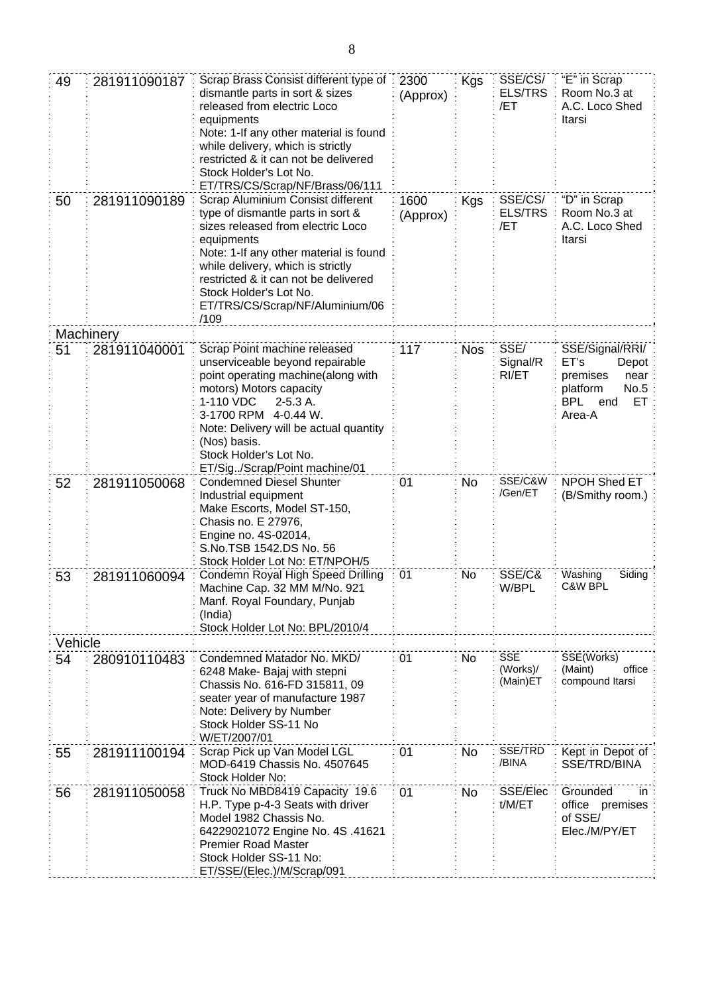| 49      | 281911090187 | Scrap Brass Consist different type of<br>dismantle parts in sort & sizes<br>released from electric Loco<br>equipments<br>Note: 1-If any other material is found<br>while delivery, which is strictly<br>restricted & it can not be delivered<br>Stock Holder's Lot No.<br>ET/TRS/CS/Scrap/NF/Brass/06/111             | 2300<br>(Approx) | <b>Kgs</b> | SSE/CS/<br><b>ELS/TRS</b><br>/ET   | "E" in Scrap<br>Room No.3 at<br>A.C. Loco Shed<br>Itarsi                                                      |
|---------|--------------|-----------------------------------------------------------------------------------------------------------------------------------------------------------------------------------------------------------------------------------------------------------------------------------------------------------------------|------------------|------------|------------------------------------|---------------------------------------------------------------------------------------------------------------|
| 50      | 281911090189 | Scrap Aluminium Consist different<br>type of dismantle parts in sort &<br>sizes released from electric Loco<br>equipments<br>Note: 1-If any other material is found<br>while delivery, which is strictly<br>restricted & it can not be delivered<br>Stock Holder's Lot No.<br>ET/TRS/CS/Scrap/NF/Aluminium/06<br>/109 | 1600<br>(Approx) | Kgs        | SSE/CS/<br><b>ELS/TRS</b><br>/ET   | "D" in Scrap<br>Room No.3 at<br>A.C. Loco Shed<br>Itarsi                                                      |
|         | Machinery    |                                                                                                                                                                                                                                                                                                                       |                  |            |                                    |                                                                                                               |
| 51      | 281911040001 | Scrap Point machine released<br>unserviceable beyond repairable<br>point operating machine(along with<br>motors) Motors capacity<br>1-110 VDC<br>$2-5.3A$ .<br>3-1700 RPM 4-0.44 W.<br>Note: Delivery will be actual quantity<br>(Nos) basis.<br>Stock Holder's Lot No.<br>ET/Sig/Scrap/Point machine/01              | 117              | <b>Nos</b> | SSE/<br>Signal/R<br>RI/ET          | SSE/Signal/RRI/<br>ET's<br>Depot<br>premises<br>near<br>No.5<br>platform<br><b>BPL</b><br>ET<br>end<br>Area-A |
| 52      | 281911050068 | <b>Condemned Diesel Shunter</b><br>Industrial equipment<br>Make Escorts, Model ST-150,<br>Chasis no. E 27976,<br>Engine no. 4S-02014,<br>S.No.TSB 1542.DS No. 56<br>Stock Holder Lot No: ET/NPOH/5                                                                                                                    | 01               | <b>No</b>  | SSE/C&W<br>/Gen/ET                 | NPOH Shed ET<br>(B/Smithy room.)                                                                              |
| 53      | 281911060094 | Condemn Royal High Speed Drilling<br>Machine Cap. 32 MM M/No. 921<br>Manf. Royal Foundary, Punjab<br>(India)<br>Stock Holder Lot No: BPL/2010/4                                                                                                                                                                       | 01               | No         | SSE/C&<br>W/BPL                    | Washing<br>Siding<br>C&W BPL                                                                                  |
| Vehicle |              |                                                                                                                                                                                                                                                                                                                       |                  |            |                                    |                                                                                                               |
| 54      | 280910110483 | Condemned Matador No. MKD/<br>6248 Make- Bajaj with stepni<br>Chassis No. 616-FD 315811, 09<br>seater year of manufacture 1987<br>Note: Delivery by Number<br>Stock Holder SS-11 No<br>W/ET/2007/01                                                                                                                   | 01               | No         | <b>SSE</b><br>(Works)/<br>(Main)ET | SSE(Works)<br>(Maint)<br>office<br>compound Itarsi                                                            |
| 55      | 281911100194 | Scrap Pick up Van Model LGL<br>MOD-6419 Chassis No. 4507645<br>Stock Holder No:                                                                                                                                                                                                                                       | 01               | <b>No</b>  | SSE/TRD<br>/BINA                   | Kept in Depot of<br>SSE/TRD/BINA                                                                              |
| 56      | 281911050058 | Truck No MBD8419 Capacity 19.6<br>H.P. Type p-4-3 Seats with driver<br>Model 1982 Chassis No.<br>64229021072 Engine No. 4S.41621<br><b>Premier Road Master</b><br>Stock Holder SS-11 No:<br>ET/SSE/(Elec.)/M/Scrap/091                                                                                                | 01               | No         | SSE/Elec<br>t/M/ET                 | Grounded<br>in.<br>office premises<br>of SSE/<br>Elec./M/PY/ET                                                |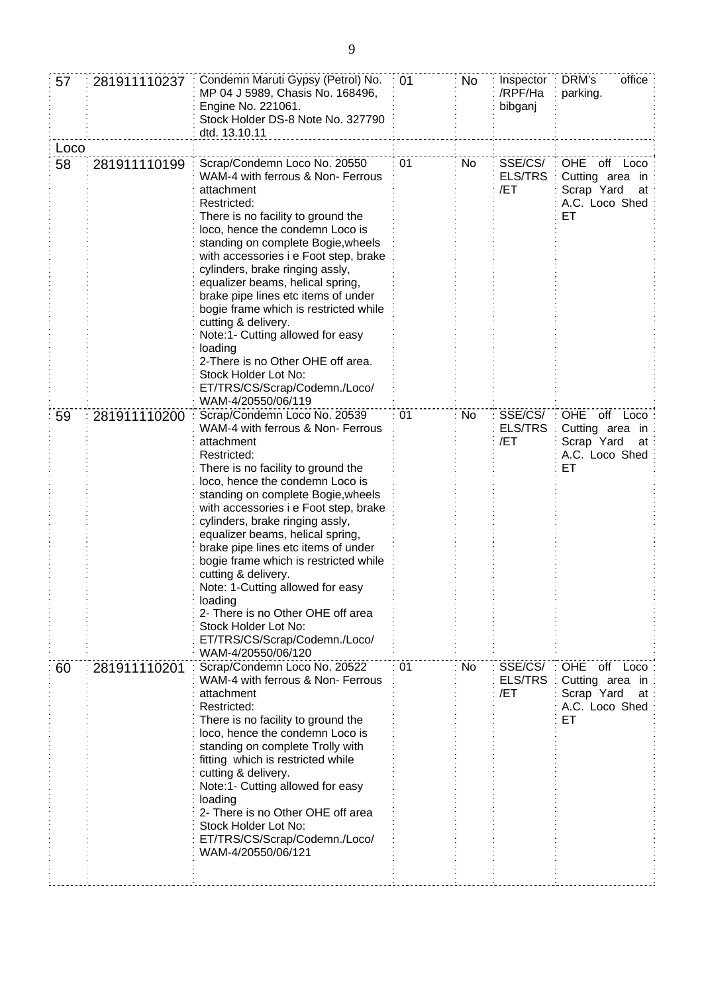| 57   | 281911110237 | Condemn Maruti Gypsy (Petrol) No.<br>MP 04 J 5989, Chasis No. 168496,<br>Engine No. 221061.<br>Stock Holder DS-8 Note No. 327790<br>dtd. 13.10.11                                                                                                                                                                                                                                                                                                                                                                                                                                                       | 01 | No | Inspector<br>/RPF/Ha<br>bibganj  | office<br>DRM's<br>parking.                                                           |
|------|--------------|---------------------------------------------------------------------------------------------------------------------------------------------------------------------------------------------------------------------------------------------------------------------------------------------------------------------------------------------------------------------------------------------------------------------------------------------------------------------------------------------------------------------------------------------------------------------------------------------------------|----|----|----------------------------------|---------------------------------------------------------------------------------------|
| Loco |              |                                                                                                                                                                                                                                                                                                                                                                                                                                                                                                                                                                                                         |    |    |                                  |                                                                                       |
| 58   | 281911110199 | Scrap/Condemn Loco No. 20550<br>WAM-4 with ferrous & Non- Ferrous<br>attachment<br>Restricted:<br>There is no facility to ground the<br>loco, hence the condemn Loco is<br>standing on complete Bogie, wheels<br>with accessories i e Foot step, brake<br>cylinders, brake ringing assly,<br>equalizer beams, helical spring,<br>brake pipe lines etc items of under<br>bogie frame which is restricted while<br>cutting & delivery.<br>Note:1- Cutting allowed for easy<br>loading<br>2-There is no Other OHE off area.<br>Stock Holder Lot No:<br>ET/TRS/CS/Scrap/Codemn./Loco/<br>WAM-4/20550/06/119 | 01 | No | SSE/CS/<br><b>ELS/TRS</b><br>/ET | OHE off Loco<br>Cutting area in<br>Scrap Yard<br>at<br>A.C. Loco Shed<br>ET           |
| 59   | 281911110200 | Scrap/Condemn Loco No. 20539<br>WAM-4 with ferrous & Non- Ferrous<br>attachment<br>Restricted:<br>There is no facility to ground the<br>loco, hence the condemn Loco is<br>standing on complete Bogie, wheels<br>with accessories i e Foot step, brake<br>cylinders, brake ringing assly,<br>equalizer beams, helical spring,<br>brake pipe lines etc items of under<br>bogie frame which is restricted while<br>cutting & delivery.<br>Note: 1-Cutting allowed for easy<br>loading<br>2- There is no Other OHE off area<br>Stock Holder Lot No:<br>ET/TRS/CS/Scrap/Codemn./Loco/<br>WAM-4/20550/06/120 | 01 | No | SSE/CS/<br>ELS/TRS<br>/ET        | <b>OHE</b><br>off Loco<br>Cutting area in<br>Scrap Yard<br>at<br>A.C. Loco Shed<br>EТ |
| 60   | 281911110201 | Scrap/Condemn Loco No. 20522<br>WAM-4 with ferrous & Non- Ferrous<br>attachment<br>Restricted:<br>There is no facility to ground the<br>loco, hence the condemn Loco is<br>standing on complete Trolly with<br>fitting which is restricted while<br>cutting & delivery.<br>Note:1- Cutting allowed for easy<br>loading<br>2- There is no Other OHE off area<br>Stock Holder Lot No:<br>ET/TRS/CS/Scrap/Codemn./Loco/<br>WAM-4/20550/06/121                                                                                                                                                              | 01 | No | SSE/CS/<br><b>ELS/TRS</b><br>/ET | OHE off Loco<br>Cutting area in<br>Scrap Yard<br>at<br>A.C. Loco Shed<br>ET           |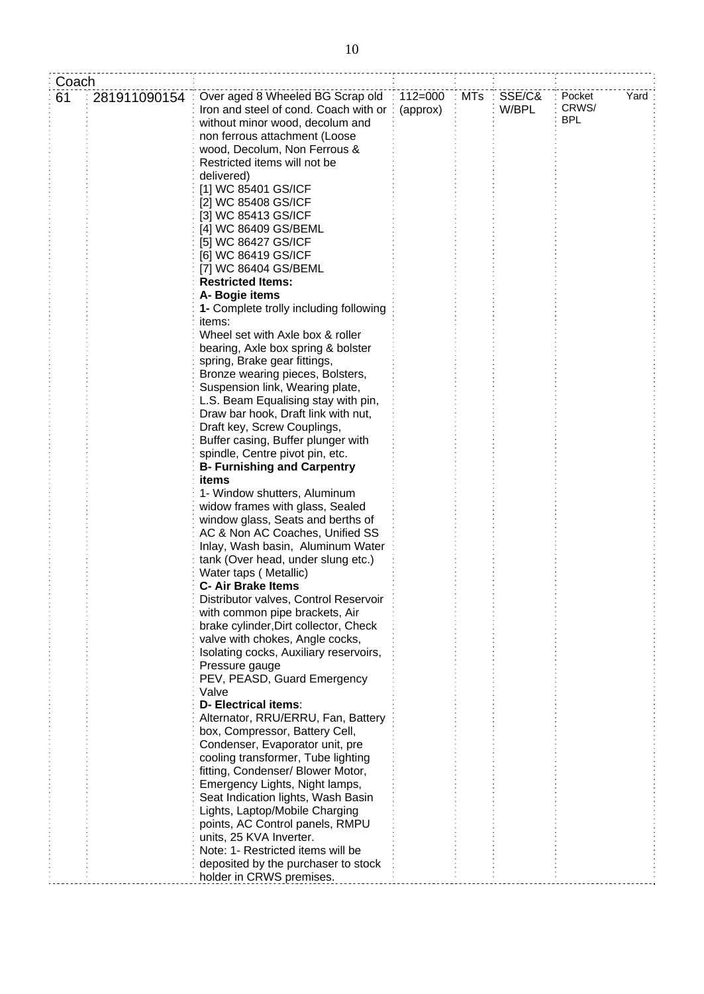| Coach |              |                                        |             |            |        |            |      |
|-------|--------------|----------------------------------------|-------------|------------|--------|------------|------|
| 61    | 281911090154 | Over aged 8 Wheeled BG Scrap old       | $112 = 000$ | <b>MTs</b> | SSE/C& | Pocket     | Yard |
|       |              | Iron and steel of cond. Coach with or  | (approx)    |            | W/BPL  | CRWS/      |      |
|       |              | without minor wood, decolum and        |             |            |        | <b>BPL</b> |      |
|       |              |                                        |             |            |        |            |      |
|       |              | non ferrous attachment (Loose          |             |            |        |            |      |
|       |              | wood, Decolum, Non Ferrous &           |             |            |        |            |      |
|       |              | Restricted items will not be           |             |            |        |            |      |
|       |              | delivered)                             |             |            |        |            |      |
|       |              | [1] WC 85401 GS/ICF                    |             |            |        |            |      |
|       |              | [2] WC 85408 GS/ICF                    |             |            |        |            |      |
|       |              | [3] WC 85413 GS/ICF                    |             |            |        |            |      |
|       |              | [4] WC 86409 GS/BEML                   |             |            |        |            |      |
|       |              | [5] WC 86427 GS/ICF                    |             |            |        |            |      |
|       |              | [6] WC 86419 GS/ICF                    |             |            |        |            |      |
|       |              | [7] WC 86404 GS/BEML                   |             |            |        |            |      |
|       |              | <b>Restricted Items:</b>               |             |            |        |            |      |
|       |              | A- Bogie items                         |             |            |        |            |      |
|       |              | 1- Complete trolly including following |             |            |        |            |      |
|       |              | items:                                 |             |            |        |            |      |
|       |              | Wheel set with Axle box & roller       |             |            |        |            |      |
|       |              | bearing, Axle box spring & bolster     |             |            |        |            |      |
|       |              | spring, Brake gear fittings,           |             |            |        |            |      |
|       |              | Bronze wearing pieces, Bolsters,       |             |            |        |            |      |
|       |              | Suspension link, Wearing plate,        |             |            |        |            |      |
|       |              |                                        |             |            |        |            |      |
|       |              | L.S. Beam Equalising stay with pin,    |             |            |        |            |      |
|       |              | Draw bar hook, Draft link with nut,    |             |            |        |            |      |
|       |              | Draft key, Screw Couplings,            |             |            |        |            |      |
|       |              | Buffer casing, Buffer plunger with     |             |            |        |            |      |
|       |              | spindle, Centre pivot pin, etc.        |             |            |        |            |      |
|       |              | <b>B- Furnishing and Carpentry</b>     |             |            |        |            |      |
|       |              | items                                  |             |            |        |            |      |
|       |              | 1- Window shutters, Aluminum           |             |            |        |            |      |
|       |              | widow frames with glass, Sealed        |             |            |        |            |      |
|       |              | window glass, Seats and berths of      |             |            |        |            |      |
|       |              | AC & Non AC Coaches, Unified SS        |             |            |        |            |      |
|       |              | Inlay, Wash basin, Aluminum Water      |             |            |        |            |      |
|       |              | tank (Over head, under slung etc.)     |             |            |        |            |      |
|       |              | Water taps (Metallic)                  |             |            |        |            |      |
|       |              | <b>C- Air Brake Items</b>              |             |            |        |            |      |
|       |              | Distributor valves, Control Reservoir  |             |            |        |            |      |
|       |              | with common pipe brackets, Air         |             |            |        |            |      |
|       |              | brake cylinder, Dirt collector, Check  |             |            |        |            |      |
|       |              | valve with chokes, Angle cocks,        |             |            |        |            |      |
|       |              | Isolating cocks, Auxiliary reservoirs, |             |            |        |            |      |
|       |              | Pressure gauge                         |             |            |        |            |      |
|       |              | PEV, PEASD, Guard Emergency            |             |            |        |            |      |
|       |              | Valve                                  |             |            |        |            |      |
|       |              | <b>D- Electrical items:</b>            |             |            |        |            |      |
|       |              | Alternator, RRU/ERRU, Fan, Battery     |             |            |        |            |      |
|       |              | box, Compressor, Battery Cell,         |             |            |        |            |      |
|       |              | Condenser, Evaporator unit, pre        |             |            |        |            |      |
|       |              | cooling transformer, Tube lighting     |             |            |        |            |      |
|       |              | fitting, Condenser/ Blower Motor,      |             |            |        |            |      |
|       |              | Emergency Lights, Night lamps,         |             |            |        |            |      |
|       |              | Seat Indication lights, Wash Basin     |             |            |        |            |      |
|       |              | Lights, Laptop/Mobile Charging         |             |            |        |            |      |
|       |              | points, AC Control panels, RMPU        |             |            |        |            |      |
|       |              | units, 25 KVA Inverter.                |             |            |        |            |      |
|       |              | Note: 1- Restricted items will be      |             |            |        |            |      |
|       |              | deposited by the purchaser to stock    |             |            |        |            |      |
|       |              | holder in CRWS premises.               |             |            |        |            |      |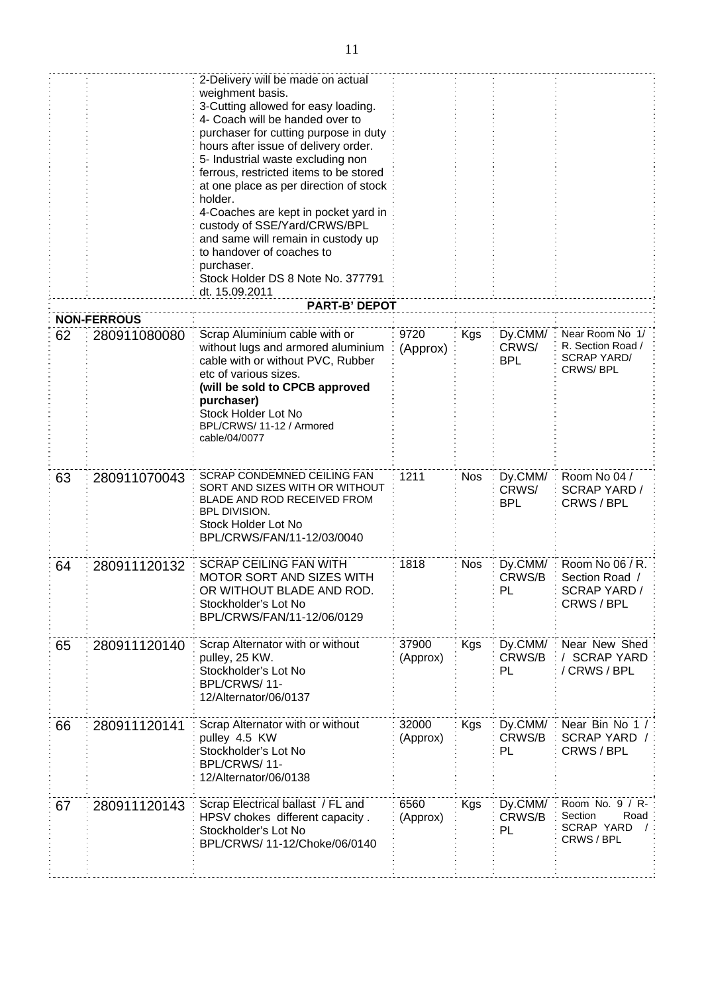|    |                    | 2-Delivery will be made on actual<br>weighment basis.<br>3-Cutting allowed for easy loading.<br>4- Coach will be handed over to<br>purchaser for cutting purpose in duty<br>hours after issue of delivery order.<br>5- Industrial waste excluding non<br>ferrous, restricted items to be stored<br>at one place as per direction of stock<br>holder.<br>4-Coaches are kept in pocket yard in<br>custody of SSE/Yard/CRWS/BPL<br>and same will remain in custody up<br>to handover of coaches to<br>purchaser.<br>Stock Holder DS 8 Note No. 377791<br>dt. 15.09.2011<br><b>PART-B' DEPOT</b> |                   |            |                                |                                                                        |
|----|--------------------|----------------------------------------------------------------------------------------------------------------------------------------------------------------------------------------------------------------------------------------------------------------------------------------------------------------------------------------------------------------------------------------------------------------------------------------------------------------------------------------------------------------------------------------------------------------------------------------------|-------------------|------------|--------------------------------|------------------------------------------------------------------------|
|    | <b>NON-FERROUS</b> |                                                                                                                                                                                                                                                                                                                                                                                                                                                                                                                                                                                              |                   |            |                                |                                                                        |
| 62 | 280911080080       | Scrap Aluminium cable with or<br>without lugs and armored aluminium<br>cable with or without PVC, Rubber<br>etc of various sizes.<br>(will be sold to CPCB approved<br>purchaser)<br>Stock Holder Lot No<br>BPL/CRWS/11-12 / Armored<br>cable/04/0077                                                                                                                                                                                                                                                                                                                                        | 9720<br>(Approx)  | <b>Kgs</b> | Dy.CMM/<br>CRWS/<br><b>BPL</b> | Near Room No 1/<br>R. Section Road /<br><b>SCRAP YARD/</b><br>CRWS/BPL |
| 63 | 280911070043       | SCRAP CONDEMNED CEILING FAN<br>SORT AND SIZES WITH OR WITHOUT<br>BLADE AND ROD RECEIVED FROM<br><b>BPL DIVISION.</b><br>Stock Holder Lot No<br>BPL/CRWS/FAN/11-12/03/0040                                                                                                                                                                                                                                                                                                                                                                                                                    | 1211              | <b>Nos</b> | Dy.CMM/<br>CRWS/<br><b>BPL</b> | Room No 04 /<br><b>SCRAP YARD /</b><br>CRWS / BPL                      |
| 64 | 280911120132       | <b>SCRAP CEILING FAN WITH</b><br><b>MOTOR SORT AND SIZES WITH</b><br>OR WITHOUT BLADE AND ROD.<br>Stockholder's Lot No<br>BPL/CRWS/FAN/11-12/06/0129                                                                                                                                                                                                                                                                                                                                                                                                                                         | 1818              | <b>Nos</b> | Dy.CMM/<br>CRWS/B<br>PL        | Room No 06 / R.<br>Section Road /<br><b>SCRAP YARD /</b><br>CRWS / BPL |
| 65 | 280911120140       | Scrap Alternator with or without<br>pulley, 25 KW.<br>Stockholder's Lot No<br>BPL/CRWS/11-<br>12/Alternator/06/0137                                                                                                                                                                                                                                                                                                                                                                                                                                                                          | 37900<br>(Approx) | <b>Kgs</b> | Dy.CMM/<br>CRWS/B<br>PL        | Near New Shed<br><b>SCRAP YARD</b><br>/CRWS/BPL                        |
| 66 | 280911120141       | Scrap Alternator with or without<br>pulley 4.5 KW<br>Stockholder's Lot No<br>BPL/CRWS/11-<br>12/Alternator/06/0138                                                                                                                                                                                                                                                                                                                                                                                                                                                                           | 32000<br>(Approx) | Kgs        | Dy.CMM/<br>CRWS/B<br>PL        | Near Bin No 1 /<br>SCRAP YARD /<br>CRWS / BPL                          |
| 67 | 280911120143       | Scrap Electrical ballast / FL and<br>HPSV chokes different capacity.<br>Stockholder's Lot No<br>BPL/CRWS/ 11-12/Choke/06/0140                                                                                                                                                                                                                                                                                                                                                                                                                                                                | 6560<br>(Approx)  | <b>Kgs</b> | Dy.CMM/<br>CRWS/B<br>PL        | Room No. 9 / R-<br>Section<br>Road<br>SCRAP YARD<br>CRWS / BPL         |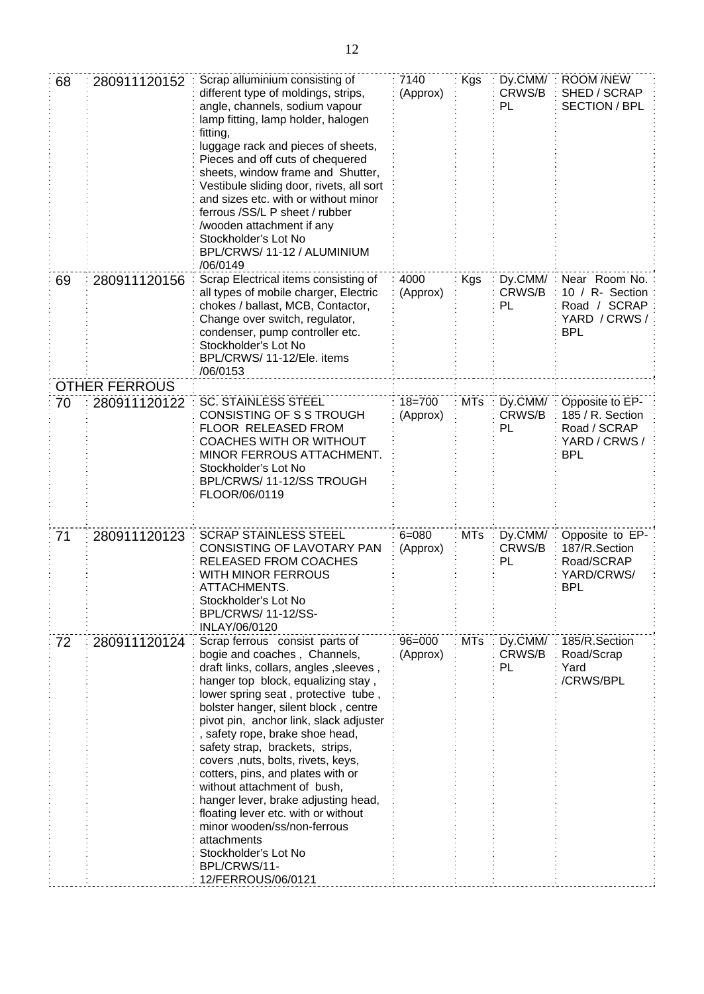| 68 | 280911120152         | Scrap alluminium consisting of<br>different type of moldings, strips,<br>angle, channels, sodium vapour<br>lamp fitting, lamp holder, halogen<br>fitting,<br>luggage rack and pieces of sheets,<br>Pieces and off cuts of chequered<br>sheets, window frame and Shutter,<br>Vestibule sliding door, rivets, all sort<br>and sizes etc. with or without minor<br>ferrous /SS/L P sheet / rubber<br>wooden attachment if any/<br>Stockholder's Lot No<br>BPL/CRWS/11-12 / ALUMINIUM<br>/06/0149                                                                                                                                                     | 7140<br>(Approx)       | Kgs        | Dy.CMM/<br>CRWS/B<br>PL        | <b>ROOM /NEW</b><br>SHED / SCRAP<br><b>SECTION / BPL</b>                           |
|----|----------------------|---------------------------------------------------------------------------------------------------------------------------------------------------------------------------------------------------------------------------------------------------------------------------------------------------------------------------------------------------------------------------------------------------------------------------------------------------------------------------------------------------------------------------------------------------------------------------------------------------------------------------------------------------|------------------------|------------|--------------------------------|------------------------------------------------------------------------------------|
| 69 | 280911120156         | Scrap Electrical items consisting of<br>all types of mobile charger, Electric<br>chokes / ballast, MCB, Contactor,<br>Change over switch, regulator,<br>condenser, pump controller etc.<br>Stockholder's Lot No<br>BPL/CRWS/ 11-12/Ele. items<br>/06/0153                                                                                                                                                                                                                                                                                                                                                                                         | 4000<br>(Approx)       | Kgs        | Dy.CMM/<br>CRWS/B<br>PL        | Near Room No.<br>10 / R- Section<br>Road / SCRAP<br>YARD / CRWS /<br><b>BPL</b>    |
|    | <b>OTHER FERROUS</b> |                                                                                                                                                                                                                                                                                                                                                                                                                                                                                                                                                                                                                                                   |                        |            |                                |                                                                                    |
| 70 | 280911120122         | <b>SC. STAINLESS STEEL</b><br>CONSISTING OF S S TROUGH<br>FLOOR RELEASED FROM<br><b>COACHES WITH OR WITHOUT</b><br>MINOR FERROUS ATTACHMENT.<br>Stockholder's Lot No<br>BPL/CRWS/11-12/SS TROUGH<br>FLOOR/06/0119                                                                                                                                                                                                                                                                                                                                                                                                                                 | $18 = 700$<br>(Approx) | <b>MTs</b> | Dy.CMM/<br>CRWS/B<br>PL        | Opposite to EP-<br>185 / R. Section<br>Road / SCRAP<br>YARD / CRWS /<br><b>BPL</b> |
| 71 | 280911120123         | <b>SCRAP STAINLESS STEEL</b><br>CONSISTING OF LAVOTARY PAN<br>RELEASED FROM COACHES<br>WITH MINOR FERROUS<br>ATTACHMENTS.<br>Stockholder's Lot No<br><b>BPL/CRWS/ 11-12/SS-</b><br>INLAY/06/0120                                                                                                                                                                                                                                                                                                                                                                                                                                                  | $6 = 080$<br>(Approx)  | <b>MTs</b> | Dy.CMM/<br>CRWS/B<br>PL        | Opposite to EP-<br>187/R.Section<br>Road/SCRAP<br>YARD/CRWS/<br>BPL                |
| 72 | 280911120124         | Scrap ferrous consist parts of<br>bogie and coaches, Channels,<br>draft links, collars, angles, sleeves,<br>hanger top block, equalizing stay,<br>lower spring seat, protective tube,<br>bolster hanger, silent block, centre<br>pivot pin, anchor link, slack adjuster<br>, safety rope, brake shoe head,<br>safety strap, brackets, strips,<br>covers, nuts, bolts, rivets, keys,<br>cotters, pins, and plates with or<br>without attachment of bush,<br>hanger lever, brake adjusting head,<br>floating lever etc. with or without<br>minor wooden/ss/non-ferrous<br>attachments<br>Stockholder's Lot No<br>BPL/CRWS/11-<br>12/FERROUS/06/0121 | $96 = 000$<br>(Approx) | <b>MTs</b> | Dy.CMM/<br>CRWS/B<br><b>PL</b> | 185/R.Section<br>Road/Scrap<br>Yard<br>/CRWS/BPL                                   |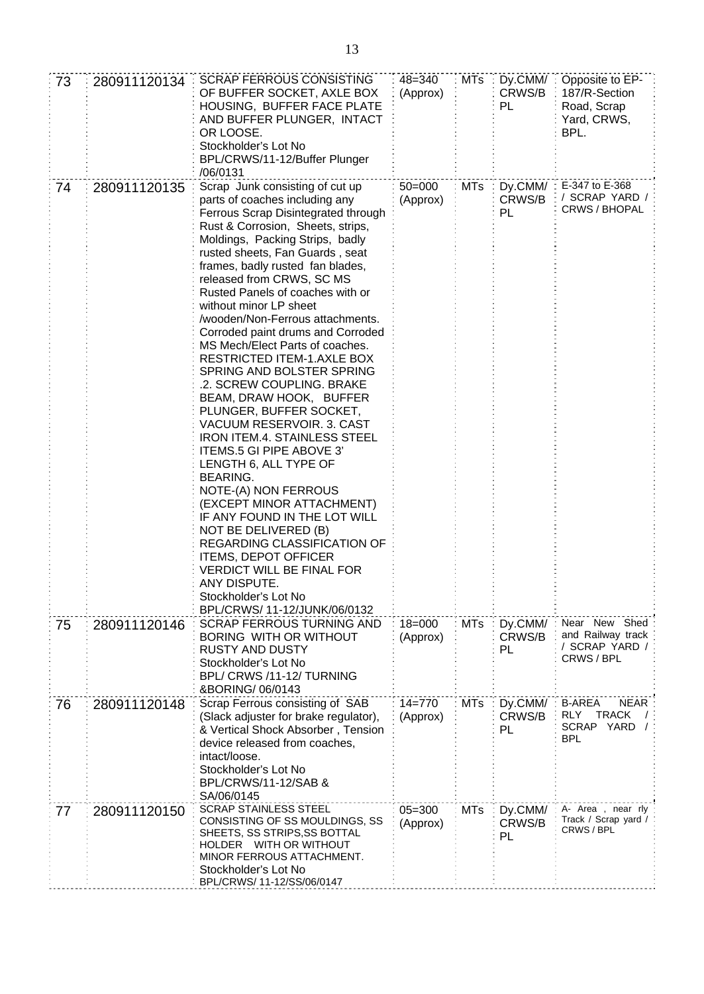| 73 | 280911120134 | <b>SCRAP FERROUS CONSISTING</b><br>OF BUFFER SOCKET, AXLE BOX<br>HOUSING, BUFFER FACE PLATE<br>AND BUFFER PLUNGER, INTACT<br>OR LOOSE.<br>Stockholder's Lot No<br>BPL/CRWS/11-12/Buffer Plunger<br>/06/0131                                                                                                                                                                                                                                                                                                                                                                                                                                                                                                                                                                                                                                                                                                                                                                                                                                    | $48 = 340$<br>(Approx) | MTs        | Dy.CMM/:<br>CRWS/B<br>PL | Opposite to EP-<br>187/R-Section<br>Road, Scrap<br>Yard, CRWS,<br>BPL.                      |
|----|--------------|------------------------------------------------------------------------------------------------------------------------------------------------------------------------------------------------------------------------------------------------------------------------------------------------------------------------------------------------------------------------------------------------------------------------------------------------------------------------------------------------------------------------------------------------------------------------------------------------------------------------------------------------------------------------------------------------------------------------------------------------------------------------------------------------------------------------------------------------------------------------------------------------------------------------------------------------------------------------------------------------------------------------------------------------|------------------------|------------|--------------------------|---------------------------------------------------------------------------------------------|
| 74 | 280911120135 | Scrap Junk consisting of cut up<br>parts of coaches including any<br>Ferrous Scrap Disintegrated through<br>Rust & Corrosion, Sheets, strips,<br>Moldings, Packing Strips, badly<br>rusted sheets, Fan Guards, seat<br>frames, badly rusted fan blades,<br>released from CRWS, SC MS<br>Rusted Panels of coaches with or<br>without minor LP sheet<br>/wooden/Non-Ferrous attachments.<br>Corroded paint drums and Corroded<br>MS Mech/Elect Parts of coaches.<br><b>RESTRICTED ITEM-1.AXLE BOX</b><br>SPRING AND BOLSTER SPRING<br>.2. SCREW COUPLING. BRAKE<br>BEAM, DRAW HOOK, BUFFER<br>PLUNGER, BUFFER SOCKET,<br>VACUUM RESERVOIR. 3. CAST<br><b>IRON ITEM.4. STAINLESS STEEL</b><br>ITEMS.5 GI PIPE ABOVE 3'<br>LENGTH 6, ALL TYPE OF<br><b>BEARING.</b><br>NOTE-(A) NON FERROUS<br>(EXCEPT MINOR ATTACHMENT)<br>IF ANY FOUND IN THE LOT WILL<br>NOT BE DELIVERED (B)<br>REGARDING CLASSIFICATION OF<br><b>ITEMS, DEPOT OFFICER</b><br>VERDICT WILL BE FINAL FOR<br>ANY DISPUTE<br>Stockholder's Lot No<br>BPL/CRWS/ 11-12/JUNK/06/0132 | $50 = 000$<br>(Approx) | <b>MTs</b> | CRWS/B<br>PL             | Dy.CMM/: E-347 to E-368<br>/ SCRAP YARD /<br>CRWS / BHOPAL                                  |
| 75 | 280911120146 | <b>SCRAP FERROUS TURNING AND</b><br>BORING WITH OR WITHOUT<br><b>RUSTY AND DUSTY</b><br>Stockholder's Lot No<br>BPL/ CRWS /11-12/ TURNING<br>&BORING/06/0143                                                                                                                                                                                                                                                                                                                                                                                                                                                                                                                                                                                                                                                                                                                                                                                                                                                                                   | $18 = 000$<br>(Approx) | <b>MTs</b> | Dy.CMM/<br>CRWS/B<br>PL  | Near New Shed<br>and Railway track<br>/ SCRAP YARD /<br>CRWS / BPL                          |
| 76 | 280911120148 | Scrap Ferrous consisting of SAB<br>(Slack adjuster for brake regulator),<br>& Vertical Shock Absorber, Tension<br>device released from coaches,<br>intact/loose.<br>Stockholder's Lot No<br>BPL/CRWS/11-12/SAB &<br>SA/06/0145                                                                                                                                                                                                                                                                                                                                                                                                                                                                                                                                                                                                                                                                                                                                                                                                                 | $14 = 770$<br>(Approx) | <b>MTs</b> | Dy.CMM/<br>CRWS/B<br>PL  | <b>B-AREA</b><br><b>NEAR</b><br><b>TRACK</b><br>RLY<br><b>SCRAP</b><br>YARD /<br><b>BPL</b> |
| 77 | 280911120150 | <b>SCRAP STAINLESS STEEL</b><br>CONSISTING OF SS MOULDINGS, SS<br>SHEETS, SS STRIPS, SS BOTTAL<br>HOLDER WITH OR WITHOUT<br>MINOR FERROUS ATTACHMENT.<br>Stockholder's Lot No<br>BPL/CRWS/ 11-12/SS/06/0147                                                                                                                                                                                                                                                                                                                                                                                                                                                                                                                                                                                                                                                                                                                                                                                                                                    | $05 = 300$<br>(Approx) | <b>MTs</b> | Dy.CMM/<br>CRWS/B<br>PL  | A- Area, near rly<br>Track / Scrap yard /<br>CRWS / BPL                                     |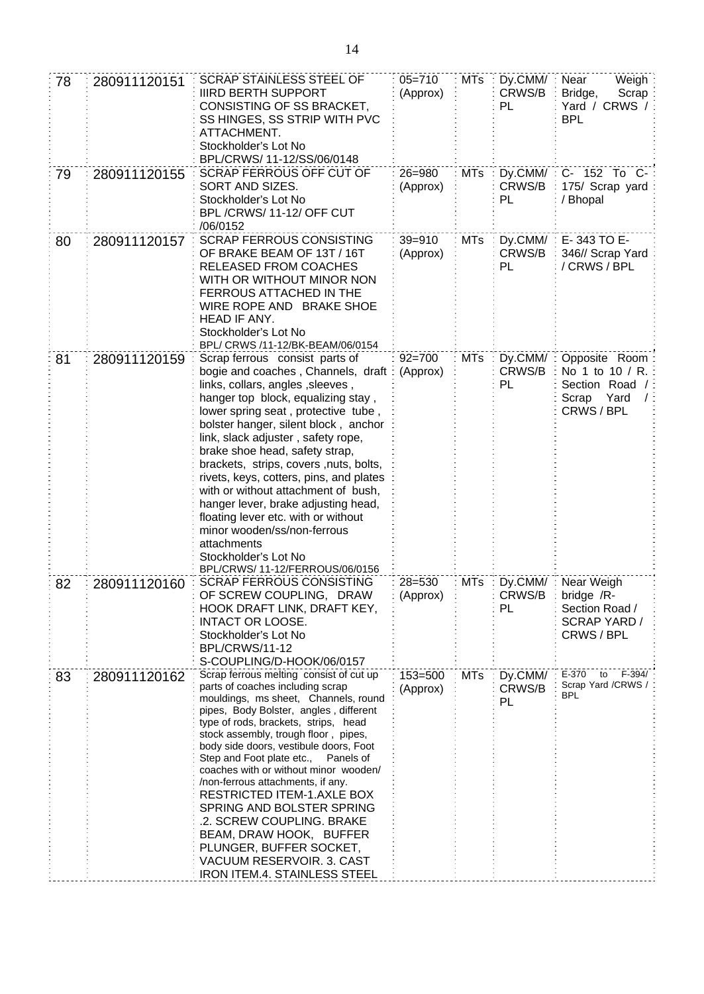| 78 | 280911120151 | <b>SCRAP STAINLESS STEEL OF</b><br><b>IIIRD BERTH SUPPORT</b><br>CONSISTING OF SS BRACKET,<br>SS HINGES, SS STRIP WITH PVC<br>ATTACHMENT.<br>Stockholder's Lot No<br>BPL/CRWS/ 11-12/SS/06/0148                                                                                                                                                                                                                                                                                                                                                                                                                                       | $05 = 710$<br>(Approx)  | <b>MTs</b> | Dy.CMM/<br>CRWS/B<br>PL | Weigh<br>Near<br>Bridge,<br>Scrap<br>Yard / CRWS /<br><b>BPL</b>                         |
|----|--------------|---------------------------------------------------------------------------------------------------------------------------------------------------------------------------------------------------------------------------------------------------------------------------------------------------------------------------------------------------------------------------------------------------------------------------------------------------------------------------------------------------------------------------------------------------------------------------------------------------------------------------------------|-------------------------|------------|-------------------------|------------------------------------------------------------------------------------------|
| 79 | 280911120155 | <b>SCRAP FERROUS OFF CUT OF</b><br>SORT AND SIZES.<br>Stockholder's Lot No<br>BPL/CRWS/11-12/OFF CUT<br>/06/0152                                                                                                                                                                                                                                                                                                                                                                                                                                                                                                                      | 26=980<br>(Approx)      | <b>MTs</b> | Dy.CMM/<br>CRWS/B<br>PL | C- 152 To C-<br>175/ Scrap yard<br>/ Bhopal                                              |
| 80 | 280911120157 | <b>SCRAP FERROUS CONSISTING</b><br>OF BRAKE BEAM OF 13T / 16T<br>RELEASED FROM COACHES<br>WITH OR WITHOUT MINOR NON<br>FERROUS ATTACHED IN THE<br>WIRE ROPE AND BRAKE SHOE<br>HEAD IF ANY.<br>Stockholder's Lot No<br>BPL/ CRWS /11-12/BK-BEAM/06/0154                                                                                                                                                                                                                                                                                                                                                                                | $39 = 910$<br>(Approx)  | <b>MTs</b> | Dy.CMM/<br>CRWS/B<br>PL | E-343 TO E-<br>346// Scrap Yard<br>/ CRWS / BPL                                          |
| 81 | 280911120159 | Scrap ferrous consist parts of<br>bogie and coaches, Channels, draft<br>links, collars, angles, sleeves,<br>hanger top block, equalizing stay,<br>lower spring seat, protective tube,<br>bolster hanger, silent block, anchor<br>link, slack adjuster, safety rope,<br>brake shoe head, safety strap,<br>brackets, strips, covers, nuts, bolts,<br>rivets, keys, cotters, pins, and plates<br>with or without attachment of bush,<br>hanger lever, brake adjusting head,<br>floating lever etc. with or without<br>minor wooden/ss/non-ferrous<br>attachments<br>Stockholder's Lot No<br>BPL/CRWS/ 11-12/FERROUS/06/0156              | $92 = 700$<br>(Approx)  | <b>MTs</b> | Dy.CMM/<br>CRWS/B<br>PL | Opposite Room<br>No 1 to 10 / R.<br>Section Road /<br>Scrap<br>Yard<br>CRWS/BPL          |
| 82 | 280911120160 | <b>SCRAP FERROUS CONSISTING</b><br>OF SCREW COUPLING, DRAW<br>HOOK DRAFT LINK, DRAFT KEY,<br>INTACT OR LOOSE.<br>Stockholder's Lot No<br><b>BPL/CRWS/11-12</b><br>S-COUPLING/D-HOOK/06/0157                                                                                                                                                                                                                                                                                                                                                                                                                                           | $28 = 530$<br>(Approx)  | <b>MTs</b> | CRWS/B<br>PL            | Dy.CMM/: Near Weigh<br>bridge /R-<br>Section Road /<br><b>SCRAP YARD /</b><br>CRWS / BPL |
| 83 | 280911120162 | Scrap ferrous melting consist of cut up<br>parts of coaches including scrap<br>mouldings, ms sheet, Channels, round<br>pipes, Body Bolster, angles, different<br>type of rods, brackets, strips, head<br>stock assembly, trough floor, pipes,<br>body side doors, vestibule doors, Foot<br>Step and Foot plate etc., Panels of<br>coaches with or without minor wooden/<br>/non-ferrous attachments, if any.<br>RESTRICTED ITEM-1.AXLE BOX<br>SPRING AND BOLSTER SPRING<br>.2. SCREW COUPLING. BRAKE<br>BEAM, DRAW HOOK, BUFFER<br>PLUNGER, BUFFER SOCKET,<br><b>VACUUM RESERVOIR. 3. CAST</b><br><b>IRON ITEM.4. STAINLESS STEEL</b> | $153 = 500$<br>(Approx) | <b>MTs</b> | Dy.CMM/<br>CRWS/B<br>PL | E-370<br>$F-394/$<br>to<br>Scrap Yard /CRWS /<br><b>BPL</b>                              |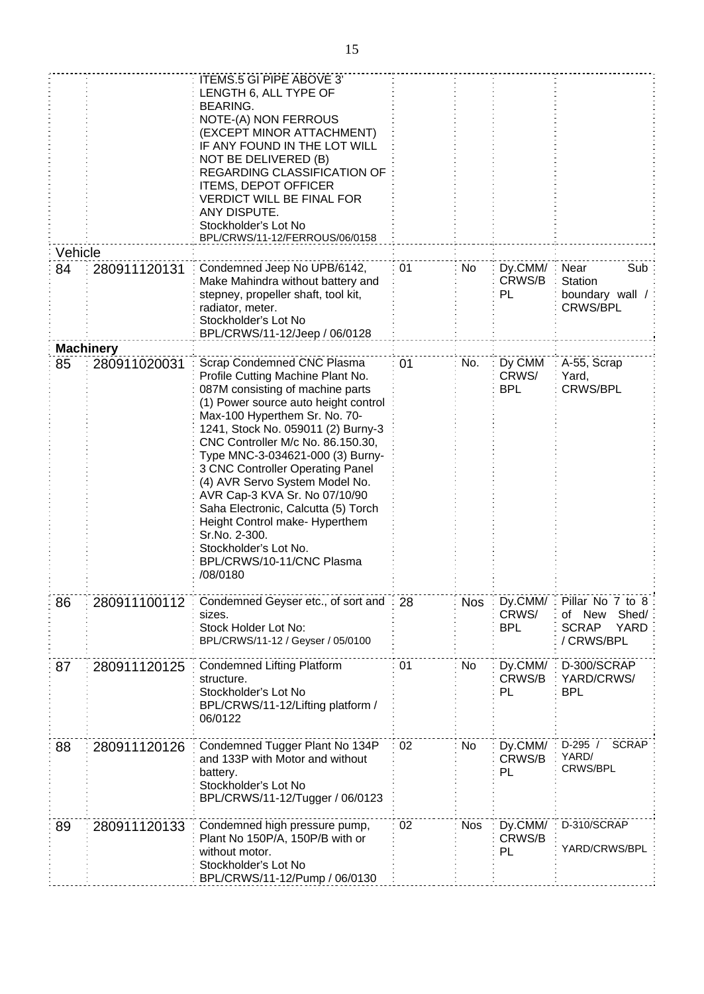|         |                  | ITEMS.5 GI PIPE ABOVE 3'<br>LENGTH 6, ALL TYPE OF<br>BEARING.<br>NOTE-(A) NON FERROUS<br>(EXCEPT MINOR ATTACHMENT)<br>IF ANY FOUND IN THE LOT WILL<br>NOT BE DELIVERED (B)<br>REGARDING CLASSIFICATION OF<br><b>ITEMS, DEPOT OFFICER</b><br><b>VERDICT WILL BE FINAL FOR</b><br>ANY DISPUTE.<br>Stockholder's Lot No<br>BPL/CRWS/11-12/FERROUS/06/0158                                                                                                                                                                                                         |    |            |                                |                                                                           |
|---------|------------------|----------------------------------------------------------------------------------------------------------------------------------------------------------------------------------------------------------------------------------------------------------------------------------------------------------------------------------------------------------------------------------------------------------------------------------------------------------------------------------------------------------------------------------------------------------------|----|------------|--------------------------------|---------------------------------------------------------------------------|
| Vehicle |                  |                                                                                                                                                                                                                                                                                                                                                                                                                                                                                                                                                                |    |            |                                |                                                                           |
| 84      | 280911120131     | Condemned Jeep No UPB/6142,<br>Make Mahindra without battery and<br>stepney, propeller shaft, tool kit,<br>radiator, meter.<br>Stockholder's Lot No<br>BPL/CRWS/11-12/Jeep / 06/0128                                                                                                                                                                                                                                                                                                                                                                           | 01 | No         | Dy.CMM/: Near<br>CRWS/B<br>PL  | Sub<br>Station<br>boundary wall /<br><b>CRWS/BPL</b>                      |
|         | <b>Machinery</b> |                                                                                                                                                                                                                                                                                                                                                                                                                                                                                                                                                                |    |            |                                |                                                                           |
| 85      | 280911020031     | Scrap Condemned CNC Plasma<br>Profile Cutting Machine Plant No.<br>087M consisting of machine parts<br>(1) Power source auto height control<br>Max-100 Hyperthem Sr. No. 70-<br>1241, Stock No. 059011 (2) Burny-3<br>CNC Controller M/c No. 86.150.30,<br>Type MNC-3-034621-000 (3) Burny-<br>3 CNC Controller Operating Panel<br>(4) AVR Servo System Model No.<br>AVR Cap-3 KVA Sr. No 07/10/90<br>Saha Electronic, Calcutta (5) Torch<br>Height Control make- Hyperthem<br>Sr.No. 2-300.<br>Stockholder's Lot No.<br>BPL/CRWS/10-11/CNC Plasma<br>/08/0180 | 01 | No.        | Dy CMM<br>CRWS/<br><b>BPL</b>  | A-55, Scrap<br>Yard,<br><b>CRWS/BPL</b>                                   |
| 86      | 280911100112     | Condemned Geyser etc., of sort and<br>sizes.<br>Stock Holder Lot No:<br>BPL/CRWS/11-12 / Geyser / 05/0100                                                                                                                                                                                                                                                                                                                                                                                                                                                      | 28 | <b>Nos</b> | Dy.CMM/<br>CRWS/<br><b>BPL</b> | Pillar No 7 to 8<br>Shed/<br>of New<br><b>SCRAP</b><br>YARD<br>/ CRWS/BPL |
| 87      | 280911120125     | <b>Condemned Lifting Platform</b><br>structure.<br>Stockholder's Lot No<br>BPL/CRWS/11-12/Lifting platform /<br>06/0122                                                                                                                                                                                                                                                                                                                                                                                                                                        | 01 | <b>No</b>  | Dy.CMM/<br>CRWS/B<br>PL        | D-300/SCRAP<br>YARD/CRWS/<br><b>BPL</b>                                   |
| 88      | 280911120126     | Condemned Tugger Plant No 134P<br>and 133P with Motor and without<br>battery.<br>Stockholder's Lot No<br>BPL/CRWS/11-12/Tugger / 06/0123                                                                                                                                                                                                                                                                                                                                                                                                                       | 02 | <b>No</b>  | Dy.CMM/<br>CRWS/B<br>PL        | $D-295/$<br><b>SCRAP</b><br>YARD/<br>CRWS/BPL                             |
| 89      | 280911120133     | Condemned high pressure pump,<br>Plant No 150P/A, 150P/B with or<br>without motor.<br>Stockholder's Lot No<br>BPL/CRWS/11-12/Pump / 06/0130                                                                                                                                                                                                                                                                                                                                                                                                                    | 02 | <b>Nos</b> | Dy.CMM/<br>CRWS/B<br>PL        | D-310/SCRAP<br>YARD/CRWS/BPL                                              |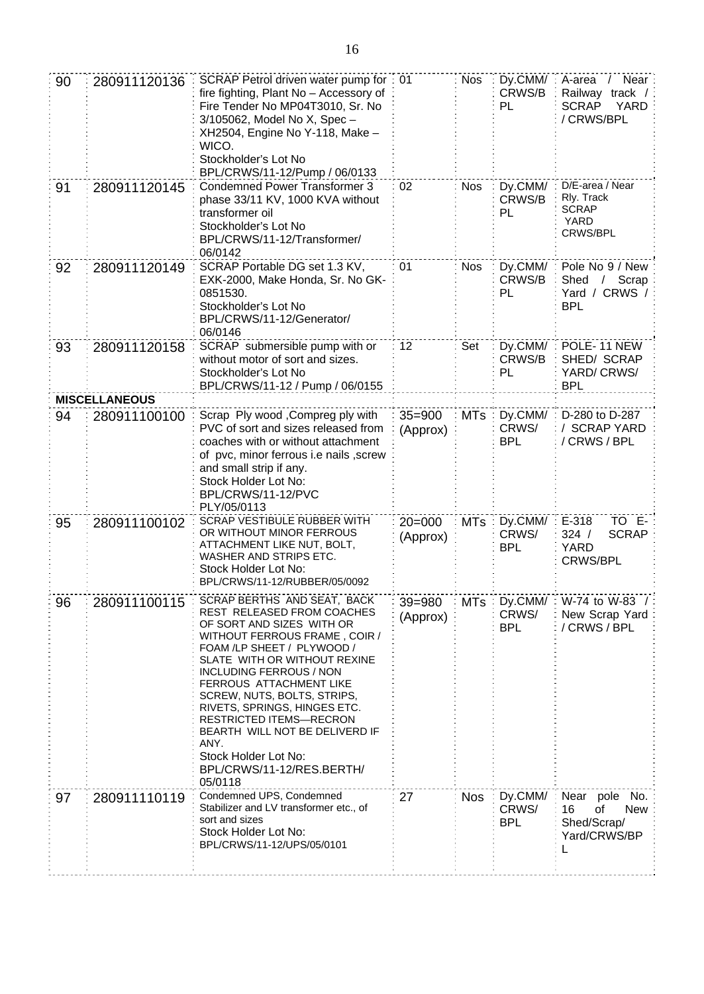| 90 | 280911120136                                                                                                                                                  | SCRAP Petrol driven water pump for: 01<br>fire fighting, Plant No - Accessory of<br>Fire Tender No MP04T3010, Sr. No<br>3/105062, Model No X, Spec -<br>XH2504, Engine No Y-118, Make -<br>WICO.<br>Stockholder's Lot No<br>BPL/CRWS/11-12/Pump / 06/0133                                                                                                                                                                                                                   |                        | <b>Nos</b> | Dy.CMM/<br>CRWS/B<br>PL        | / Near<br>A-area<br>track $/$<br>Railway<br><b>SCRAP</b><br>YARD<br>/ CRWS/BPL    |
|----|---------------------------------------------------------------------------------------------------------------------------------------------------------------|-----------------------------------------------------------------------------------------------------------------------------------------------------------------------------------------------------------------------------------------------------------------------------------------------------------------------------------------------------------------------------------------------------------------------------------------------------------------------------|------------------------|------------|--------------------------------|-----------------------------------------------------------------------------------|
| 91 | 280911120145                                                                                                                                                  | <b>Condemned Power Transformer 3</b><br>phase 33/11 KV, 1000 KVA without<br>transformer oil<br>Stockholder's Lot No<br>BPL/CRWS/11-12/Transformer/<br>06/0142                                                                                                                                                                                                                                                                                                               | 02                     | <b>Nos</b> | Dy.CMM/<br>CRWS/B<br>PL        | D/E-area / Near<br>Rly. Track<br><b>SCRAP</b><br>YARD<br>CRWS/BPL                 |
| 92 | SCRAP Portable DG set 1.3 KV,<br>280911120149<br>EXK-2000, Make Honda, Sr. No GK-<br>0851530.<br>Stockholder's Lot No<br>BPL/CRWS/11-12/Generator/<br>06/0146 |                                                                                                                                                                                                                                                                                                                                                                                                                                                                             | 01                     | <b>Nos</b> | Dy.CMM/<br>CRWS/B<br>PL        | Pole No 9 / New<br>Shed<br>/ Scrap<br>Yard / CRWS /<br><b>BPL</b>                 |
| 93 | 280911120158                                                                                                                                                  | SCRAP submersible pump with or<br>without motor of sort and sizes.<br>Stockholder's Lot No<br>BPL/CRWS/11-12 / Pump / 06/0155                                                                                                                                                                                                                                                                                                                                               | 12                     | Set        | Dy.CMM/<br>CRWS/B<br>PL        | POLE-11 NEW<br>SHED/ SCRAP<br>YARD/CRWS/<br><b>BPL</b>                            |
|    | <b>MISCELLANEOUS</b>                                                                                                                                          |                                                                                                                                                                                                                                                                                                                                                                                                                                                                             |                        |            |                                |                                                                                   |
| 94 | 280911100100                                                                                                                                                  | Scrap Ply wood, Compreg ply with<br>PVC of sort and sizes released from<br>coaches with or without attachment<br>of pvc, minor ferrous i.e nails, screw<br>and small strip if any.<br>Stock Holder Lot No:<br>BPL/CRWS/11-12/PVC<br>PLY/05/0113                                                                                                                                                                                                                             | $35 = 900$<br>(Approx) | <b>MTs</b> | Dy.CMM/<br>CRWS/<br><b>BPL</b> | D-280 to D-287<br>/ SCRAP YARD<br>/CRWS/BPL                                       |
| 95 | 280911100102                                                                                                                                                  | SCRAP VESTIBULE RUBBER WITH<br>OR WITHOUT MINOR FERROUS<br>ATTACHMENT LIKE NUT, BOLT,<br>WASHER AND STRIPS ETC.<br>Stock Holder Lot No:<br>BPL/CRWS/11-12/RUBBER/05/0092                                                                                                                                                                                                                                                                                                    | $20 = 000$<br>(Approx) | <b>MTs</b> | Dy.CMM/<br>CRWS/<br><b>BPL</b> | E-318<br>TO E-<br><b>SCRAP</b><br>324 /<br><b>YARD</b><br><b>CRWS/BPL</b>         |
| 96 | 280911100115                                                                                                                                                  | SCRAP BERTHS AND SEAT, BACK<br><b>REST RELEASED FROM COACHES</b><br>OF SORT AND SIZES WITH OR<br>WITHOUT FERROUS FRAME, COIR /<br>FOAM /LP SHEET / PLYWOOD /<br>SLATE WITH OR WITHOUT REXINE<br><b>INCLUDING FERROUS / NON</b><br><b>FERROUS ATTACHMENT LIKE</b><br>SCREW, NUTS, BOLTS, STRIPS,<br>RIVETS, SPRINGS, HINGES ETC.<br><b>RESTRICTED ITEMS-RECRON</b><br>BEARTH WILL NOT BE DELIVERD IF<br>ANY.<br>Stock Holder Lot No:<br>BPL/CRWS/11-12/RES.BERTH/<br>05/0118 | $39 = 980$<br>(Approx) | MTs        | Dy.CMM/<br>CRWS/<br><b>BPL</b> | W-74 to W-83 /:<br>New Scrap Yard<br>/ CRWS / BPL                                 |
| 97 | 280911110119                                                                                                                                                  | Condemned UPS, Condemned<br>Stabilizer and LV transformer etc., of<br>sort and sizes<br>Stock Holder Lot No:<br>BPL/CRWS/11-12/UPS/05/0101                                                                                                                                                                                                                                                                                                                                  | 27                     | <b>Nos</b> | Dy.CMM/<br>CRWS/<br><b>BPL</b> | No.<br>Near<br>pole<br>of<br><b>New</b><br>16<br>Shed/Scrap/<br>Yard/CRWS/BP<br>L |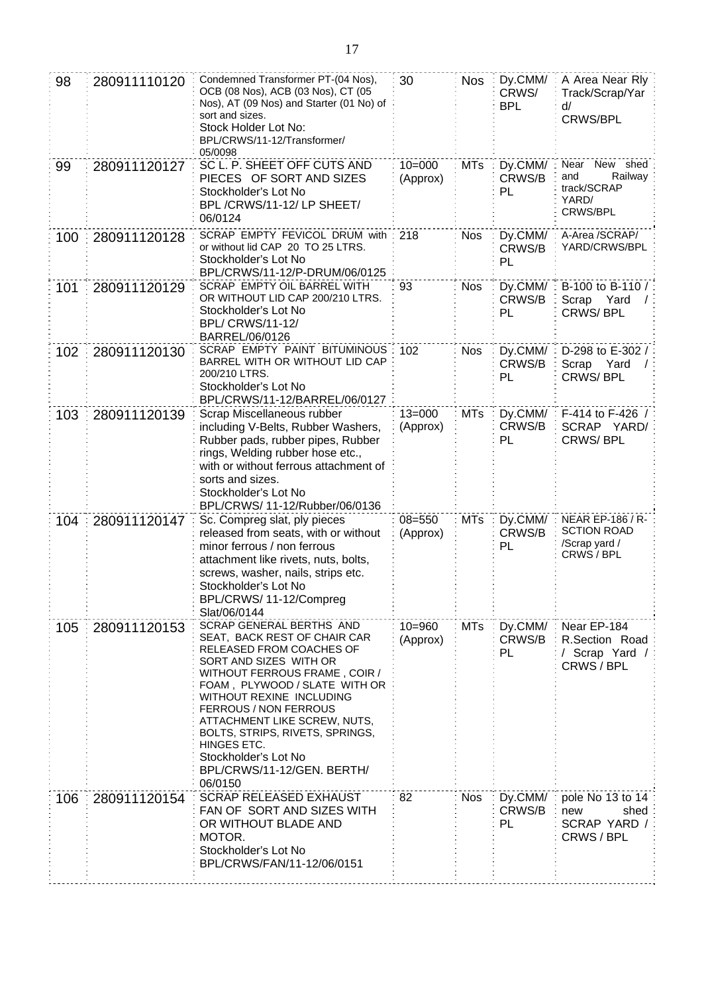| 98  | 280911110120 | Condemned Transformer PT-(04 Nos),<br>OCB (08 Nos), ACB (03 Nos), CT (05<br>Nos), AT (09 Nos) and Starter (01 No) of<br>sort and sizes.<br>Stock Holder Lot No:<br>BPL/CRWS/11-12/Transformer/<br>05/0098                                                                                                                                                                                | 30                     | <b>Nos</b> | Dy.CMM/<br>CRWS/<br><b>BPL</b> | A Area Near Rly<br>Track/Scrap/Yar<br>d/<br>CRWS/BPL                  |
|-----|--------------|------------------------------------------------------------------------------------------------------------------------------------------------------------------------------------------------------------------------------------------------------------------------------------------------------------------------------------------------------------------------------------------|------------------------|------------|--------------------------------|-----------------------------------------------------------------------|
| 99  | 280911120127 | SC L. P. SHEET OFF CUTS AND<br>PIECES OF SORT AND SIZES<br>Stockholder's Lot No<br>BPL/CRWS/11-12/LP SHEET/<br>06/0124                                                                                                                                                                                                                                                                   | $10 = 000$<br>(Approx) | <b>MTs</b> | Dy.CMM/<br>CRWS/B<br>PL        | Near New shed<br>Railway<br>and<br>track/SCRAP<br>YARD/<br>CRWS/BPL   |
| 100 | 280911120128 | SCRAP EMPTY FEVICOL DRUM with<br>or without lid CAP 20 TO 25 LTRS.<br>Stockholder's Lot No<br>BPL/CRWS/11-12/P-DRUM/06/0125                                                                                                                                                                                                                                                              | 218                    | <b>Nos</b> | Dy.CMM/<br>CRWS/B<br>PL        | A-Area /SCRAP/<br>YARD/CRWS/BPL                                       |
| 101 | 280911120129 | SCRAP EMPTY OIL BARREL WITH<br>OR WITHOUT LID CAP 200/210 LTRS.<br>Stockholder's Lot No<br><b>BPL/ CRWS/11-12/</b><br>BARREL/06/0126                                                                                                                                                                                                                                                     | 93                     | <b>Nos</b> | Dy.CMM/<br>CRWS/B<br>PL        | B-100 to B-110 /<br>Scrap<br>Yard<br><b>CRWS/BPL</b>                  |
| 102 | 280911120130 | SCRAP EMPTY PAINT BITUMINOUS<br>BARREL WITH OR WITHOUT LID CAP<br>200/210 LTRS.<br>Stockholder's Lot No<br>BPL/CRWS/11-12/BARREL/06/0127                                                                                                                                                                                                                                                 | 102                    | <b>Nos</b> | Dy.CMM/<br>CRWS/B<br>PL        | D-298 to E-302 /<br>Scrap<br>Yard<br>CRWS/BPL                         |
| 103 | 280911120139 | Scrap Miscellaneous rubber<br>including V-Belts, Rubber Washers,<br>Rubber pads, rubber pipes, Rubber<br>rings, Welding rubber hose etc.,<br>with or without ferrous attachment of<br>sorts and sizes.<br>Stockholder's Lot No<br>BPL/CRWS/ 11-12/Rubber/06/0136                                                                                                                         | $13 = 000$<br>(Approx) | <b>MTs</b> | Dy.CMM/<br>CRWS/B<br>PL        | F-414 to F-426 /<br>SCRAP YARD/<br><b>CRWS/BPL</b>                    |
| 104 | 280911120147 | Sc. Compreg slat, ply pieces<br>released from seats, with or without<br>minor ferrous / non ferrous<br>attachment like rivets, nuts, bolts,<br>screws, washer, nails, strips etc.<br>Stockholder's Lot No<br>BPL/CRWS/ 11-12/Compreg<br>Slat/06/0144                                                                                                                                     | $08 = 550$<br>(Approx) | <b>MTs</b> | Dy.CMM/<br>CRWS/B<br>PL        | NEAR EP-186 / R-<br><b>SCTION ROAD</b><br>/Scrap yard /<br>CRWS / BPL |
| 105 | 280911120153 | SCRAP GENERAL BERTHS AND<br>SEAT, BACK REST OF CHAIR CAR<br>RELEASED FROM COACHES OF<br>SORT AND SIZES WITH OR<br>WITHOUT FERROUS FRAME, COIR /<br>FOAM, PLYWOOD / SLATE WITH OR<br>WITHOUT REXINE INCLUDING<br>FERROUS / NON FERROUS<br>ATTACHMENT LIKE SCREW, NUTS,<br>BOLTS, STRIPS, RIVETS, SPRINGS,<br>HINGES ETC.<br>Stockholder's Lot No<br>BPL/CRWS/11-12/GEN. BERTH/<br>06/0150 | $10 = 960$<br>(Approx) | <b>MTs</b> | Dy.CMM/<br>CRWS/B<br>PL        | Near EP-184<br>R.Section Road<br>/ Scrap Yard /<br>CRWS / BPL         |
| 106 | 280911120154 | <b>SCRAP RELEASED EXHAUST</b><br>FAN OF SORT AND SIZES WITH<br>OR WITHOUT BLADE AND<br>MOTOR.<br>Stockholder's Lot No<br>BPL/CRWS/FAN/11-12/06/0151                                                                                                                                                                                                                                      | 82                     | <b>Nos</b> | Dy.CMM/<br>CRWS/B<br>PL        | pole No 13 to 14<br>new<br>shed<br>SCRAP YARD /<br>CRWS / BPL         |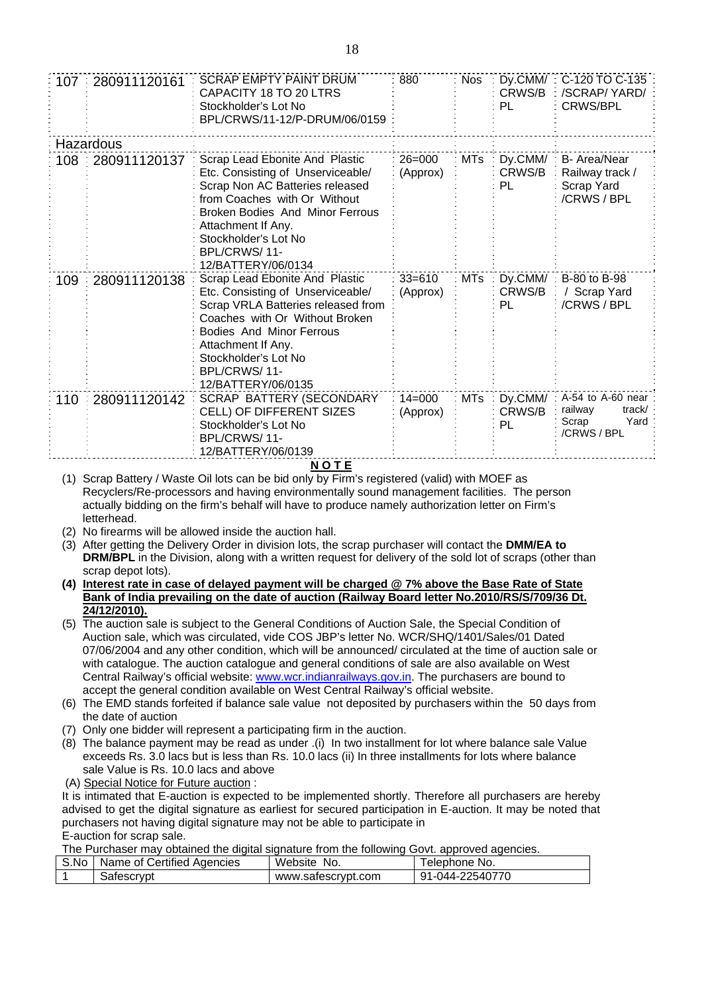| 107         | 280911120161 | <b>SCRAP EMPTY PAINT DRUM</b><br>CAPACITY 18 TO 20 LTRS<br>Stockholder's Lot No<br>BPL/CRWS/11-12/P-DRUM/06/0159                                                                                                                                                     | 880                    | <b>Nos</b> | CRWS/B<br>PL.           | Dy.CMM/: C-120 TO C-135<br>/SCRAP/YARD/<br><b>CRWS/BPL</b>                 |
|-------------|--------------|----------------------------------------------------------------------------------------------------------------------------------------------------------------------------------------------------------------------------------------------------------------------|------------------------|------------|-------------------------|----------------------------------------------------------------------------|
|             | Hazardous    |                                                                                                                                                                                                                                                                      |                        |            |                         |                                                                            |
| 108         | 280911120137 | Scrap Lead Ebonite And Plastic<br>Etc. Consisting of Unserviceable/<br>Scrap Non AC Batteries released<br>from Coaches with Or Without<br><b>Broken Bodies And Minor Ferrous</b><br>Attachment If Any.<br>Stockholder's Lot No<br>BPL/CRWS/11-<br>12/BATTERY/06/0134 | $26 = 000$<br>(Approx) | <b>MTs</b> | Dy.CMM/<br>CRWS/B<br>PL | B- Area/Near<br>Railway track /<br>Scrap Yard<br>/CRWS / BPL               |
| 109         | 280911120138 | Scrap Lead Ebonite And Plastic<br>Etc. Consisting of Unserviceable/<br>Scrap VRLA Batteries released from<br>Coaches with Or Without Broken<br><b>Bodies And Minor Ferrous</b><br>Attachment If Any.<br>Stockholder's Lot No<br>BPL/CRWS/11-<br>12/BATTERY/06/0135   | $33 = 610$<br>(Approx) | <b>MTs</b> | Dy.CMM/<br>CRWS/B<br>PL | B-80 to B-98<br>Scrap Yard<br>/CRWS / BPL                                  |
| 110         | 280911120142 | <b>SCRAP BATTERY (SECONDARY</b><br>CELL) OF DIFFERENT SIZES<br>Stockholder's Lot No<br>BPL/CRWS/11-<br>12/BATTERY/06/0139                                                                                                                                            | $14 = 000$<br>(Approx) | <b>MTs</b> | Dy.CMM/<br>CRWS/B<br>PL | $A-54$ to $A-60$ near<br>railway<br>track/<br>Yard<br>Scrap<br>/CRWS / BPL |
| <b>NOTE</b> |              |                                                                                                                                                                                                                                                                      |                        |            |                         |                                                                            |

(1) Scrap Battery / Waste Oil lots can be bid only by Firm's registered (valid) with MOEF as Recyclers/Re-processors and having environmentally sound management facilities. The person actually bidding on the firm's behalf will have to produce namely authorization letter on Firm's letterhead.

- (2) No firearms will be allowed inside the auction hall.
- (3) After getting the Delivery Order in division lots, the scrap purchaser will contact the **DMM/EA to DRM/BPL** in the Division, along with a written request for delivery of the sold lot of scraps (other than scrap depot lots).
- **(4) Interest rate in case of delayed payment will be charged @ 7% above the Base Rate of State Bank of India prevailing on the date of auction (Railway Board letter No.2010/RS/S/709/36 Dt. 24/12/2010).**
- (5) The auction sale is subject to the General Conditions of Auction Sale, the Special Condition of Auction sale, which was circulated, vide COS JBP's letter No. WCR/SHQ/1401/Sales/01 Dated 07/06/2004 and any other condition, which will be announced/ circulated at the time of auction sale or with catalogue. The auction catalogue and general conditions of sale are also available on West Central Railway's official website: [www.wcr.indianrailways.gov.in.](http://www.wcr.indianrailways.gov.in/) The purchasers are bound to accept the general condition available on West Central Railway's official website.
- (6) The EMD stands forfeited if balance sale value not deposited by purchasers within the 50 days from the date of auction
- (7) Only one bidder will represent a participating firm in the auction.
- (8) The balance payment may be read as under .(i) In two installment for lot where balance sale Value exceeds Rs. 3.0 lacs but is less than Rs. 10.0 lacs (ii) In three installments for lots where balance sale Value is Rs. 10.0 lacs and above
- (A) Special Notice for Future auction :

It is intimated that E-auction is expected to be implemented shortly. Therefore all purchasers are hereby advised to get the digital signature as earliest for secured participation in E-auction. It may be noted that purchasers not having digital signature may not be able to participate in E-auction for scrap sale.

The Purchaser may obtained the digital signature from the following Govt. approved agencies.

| S.No | Name of Certified Agencies | Website<br>No.     | ' elephone No.  |
|------|----------------------------|--------------------|-----------------|
|      | Safescrypt                 | www.safescrypt.com | 91-044-22540770 |